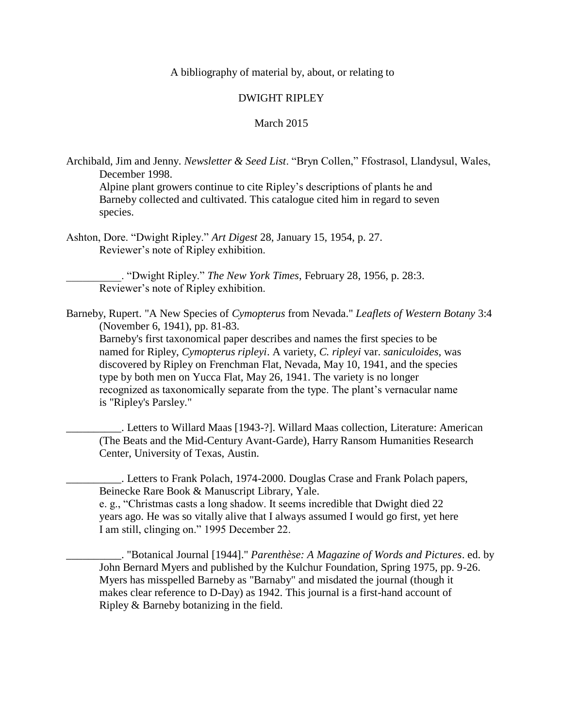A bibliography of material by, about, or relating to

## DWIGHT RIPLEY

## March 2015

Archibald, Jim and Jenny. *Newsletter & Seed List*. "Bryn Collen," Ffostrasol, Llandysul, Wales, December 1998.

Alpine plant growers continue to cite Ripley's descriptions of plants he and Barneby collected and cultivated. This catalogue cited him in regard to seven species.

Ashton, Dore. "Dwight Ripley." *Art Digest* 28, January 15, 1954, p. 27. Reviewer's note of Ripley exhibition.

> \_\_\_\_\_\_\_\_\_\_. "Dwight Ripley." *The New York Times*, February 28, 1956, p. 28:3. Reviewer's note of Ripley exhibition.

Barneby, Rupert. "A New Species of *Cymopterus* from Nevada." *Leaflets of Western Botany* 3:4 (November 6, 1941), pp. 81-83.

Barneby's first taxonomical paper describes and names the first species to be named for Ripley, *Cymopterus ripleyi*. A variety, *C. ripleyi* var. *saniculoides*, was discovered by Ripley on Frenchman Flat, Nevada, May 10, 1941, and the species type by both men on Yucca Flat, May 26, 1941. The variety is no longer recognized as taxonomically separate from the type. The plant's vernacular name is "Ripley's Parsley."

\_\_\_\_\_\_\_\_\_\_. Letters to Willard Maas [1943-?]. Willard Maas collection, Literature: American (The Beats and the Mid-Century Avant-Garde), Harry Ransom Humanities Research Center, University of Texas, Austin.

\_\_\_\_\_\_\_\_\_\_. Letters to Frank Polach, 1974-2000. Douglas Crase and Frank Polach papers, Beinecke Rare Book & Manuscript Library, Yale.

e. g., "Christmas casts a long shadow. It seems incredible that Dwight died 22 years ago. He was so vitally alive that I always assumed I would go first, yet here I am still, clinging on." 1995 December 22.

\_\_\_\_\_\_\_\_\_\_. "Botanical Journal [1944]." *Parenthèse: A Magazine of Words and Pictures*. ed. by John Bernard Myers and published by the Kulchur Foundation, Spring 1975, pp. 9-26. Myers has misspelled Barneby as "Barnaby" and misdated the journal (though it makes clear reference to D-Day) as 1942. This journal is a first-hand account of Ripley & Barneby botanizing in the field.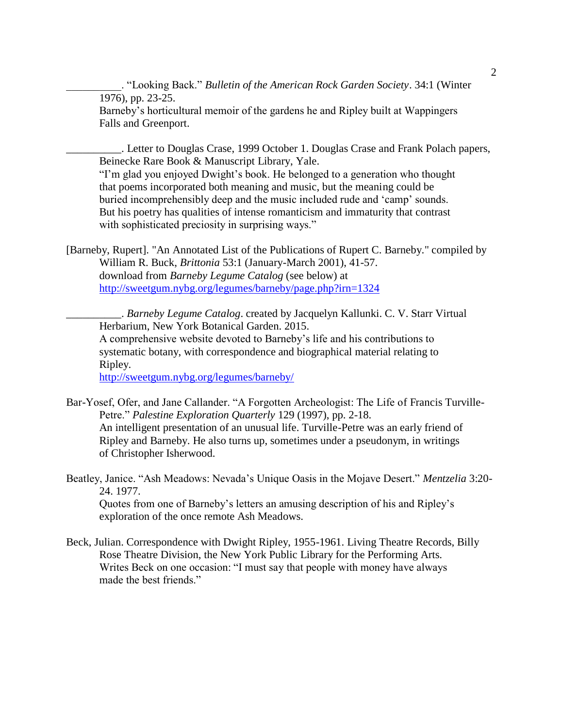\_\_\_\_\_\_\_\_\_\_. "Looking Back." *Bulletin of the American Rock Garden Society*. 34:1 (Winter 1976), pp. 23-25. Barneby's horticultural memoir of the gardens he and Ripley built at Wappingers Falls and Greenport.

\_\_\_\_\_\_\_\_\_\_. Letter to Douglas Crase, 1999 October 1. Douglas Crase and Frank Polach papers, Beinecke Rare Book & Manuscript Library, Yale.

"I'm glad you enjoyed Dwight's book. He belonged to a generation who thought that poems incorporated both meaning and music, but the meaning could be buried incomprehensibly deep and the music included rude and 'camp' sounds. But his poetry has qualities of intense romanticism and immaturity that contrast with sophisticated preciosity in surprising ways."

[Barneby, Rupert]. "An Annotated List of the Publications of Rupert C. Barneby." compiled by William R. Buck, *Brittonia* 53:1 (January-March 2001), 41-57. download from *Barneby Legume Catalog* (see below) at <http://sweetgum.nybg.org/legumes/barneby/page.php?irn=1324>

\_\_\_\_\_\_\_\_\_\_. *Barneby Legume Catalog*. created by Jacquelyn Kallunki. C. V. Starr Virtual Herbarium, New York Botanical Garden. 2015. A comprehensive website devoted to Barneby's life and his contributions to systematic botany, with correspondence and biographical material relating to Ripley.

<http://sweetgum.nybg.org/legumes/barneby/>

- Bar-Yosef, Ofer, and Jane Callander. "A Forgotten Archeologist: The Life of Francis Turville-Petre." *Palestine Exploration Quarterly* 129 (1997), pp. 2-18. An intelligent presentation of an unusual life. Turville-Petre was an early friend of Ripley and Barneby. He also turns up, sometimes under a pseudonym, in writings of Christopher Isherwood.
- Beatley, Janice. "Ash Meadows: Nevada's Unique Oasis in the Mojave Desert." *Mentzelia* 3:20- 24. 1977.

Quotes from one of Barneby's letters an amusing description of his and Ripley's exploration of the once remote Ash Meadows.

Beck, Julian. Correspondence with Dwight Ripley, 1955-1961. Living Theatre Records, Billy Rose Theatre Division, the New York Public Library for the Performing Arts. Writes Beck on one occasion: "I must say that people with money have always made the best friends."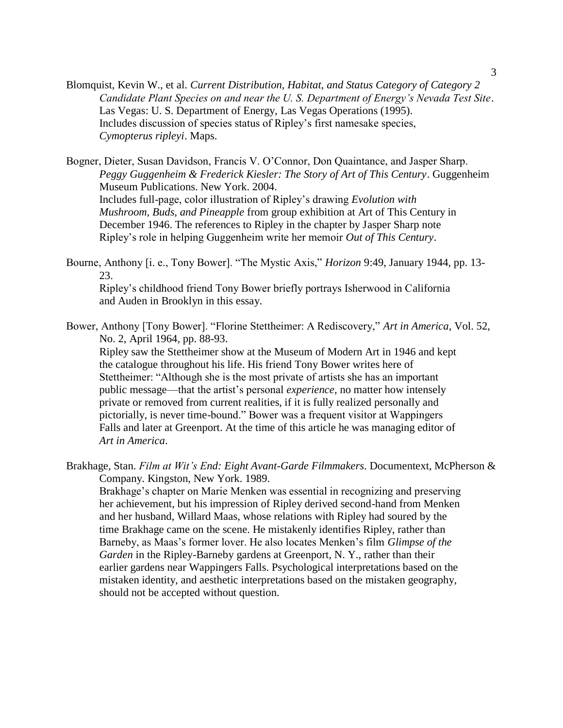Blomquist, Kevin W., et al. *Current Distribution, Habitat, and Status Category of Category 2 Candidate Plant Species on and near the U. S. Department of Energy's Nevada Test Site*. Las Vegas: U. S. Department of Energy, Las Vegas Operations (1995). Includes discussion of species status of Ripley's first namesake species, *Cymopterus ripleyi*. Maps.

Bogner, Dieter, Susan Davidson, Francis V. O'Connor, Don Quaintance, and Jasper Sharp. *Peggy Guggenheim & Frederick Kiesler: The Story of Art of This Century*. Guggenheim Museum Publications. New York. 2004. Includes full-page, color illustration of Ripley's drawing *Evolution with Mushroom, Buds, and Pineapple* from group exhibition at Art of This Century in December 1946. The references to Ripley in the chapter by Jasper Sharp note Ripley's role in helping Guggenheim write her memoir *Out of This Century*.

Bourne, Anthony [i. e., Tony Bower]. "The Mystic Axis," *Horizon* 9:49, January 1944, pp. 13- 23.

Ripley's childhood friend Tony Bower briefly portrays Isherwood in California and Auden in Brooklyn in this essay.

Bower, Anthony [Tony Bower]. "Florine Stettheimer: A Rediscovery," *Art in America*, Vol. 52, No. 2, April 1964, pp. 88-93.

Ripley saw the Stettheimer show at the Museum of Modern Art in 1946 and kept the catalogue throughout his life. His friend Tony Bower writes here of Stettheimer: "Although she is the most private of artists she has an important public message—that the artist's personal *experience*, no matter how intensely private or removed from current realities, if it is fully realized personally and pictorially, is never time-bound." Bower was a frequent visitor at Wappingers Falls and later at Greenport. At the time of this article he was managing editor of *Art in America*.

Brakhage, Stan. *Film at Wit's End: Eight Avant-Garde Filmmakers*. Documentext, McPherson & Company. Kingston, New York. 1989.

Brakhage's chapter on Marie Menken was essential in recognizing and preserving her achievement, but his impression of Ripley derived second-hand from Menken and her husband, Willard Maas, whose relations with Ripley had soured by the time Brakhage came on the scene. He mistakenly identifies Ripley, rather than Barneby, as Maas's former lover. He also locates Menken's film *Glimpse of the Garden* in the Ripley-Barneby gardens at Greenport, N. Y., rather than their earlier gardens near Wappingers Falls. Psychological interpretations based on the mistaken identity, and aesthetic interpretations based on the mistaken geography, should not be accepted without question.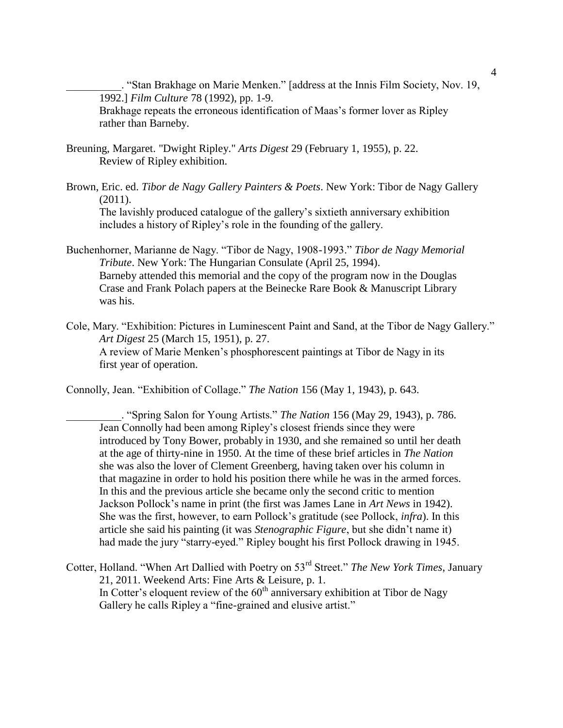\_\_\_\_\_\_\_\_\_\_. "Stan Brakhage on Marie Menken." [address at the Innis Film Society, Nov. 19, 1992.] *Film Culture* 78 (1992), pp. 1-9.

Brakhage repeats the erroneous identification of Maas's former lover as Ripley rather than Barneby.

- Breuning, Margaret. "Dwight Ripley." *Arts Digest* 29 (February 1, 1955), p. 22. Review of Ripley exhibition.
- Brown, Eric. ed. *Tibor de Nagy Gallery Painters & Poets*. New York: Tibor de Nagy Gallery  $(2011).$

The lavishly produced catalogue of the gallery's sixtieth anniversary exhibition includes a history of Ripley's role in the founding of the gallery.

Buchenhorner, Marianne de Nagy. "Tibor de Nagy, 1908-1993." *Tibor de Nagy Memorial Tribute*. New York: The Hungarian Consulate (April 25, 1994). Barneby attended this memorial and the copy of the program now in the Douglas Crase and Frank Polach papers at the Beinecke Rare Book & Manuscript Library was his.

Cole, Mary. "Exhibition: Pictures in Luminescent Paint and Sand, at the Tibor de Nagy Gallery." *Art Digest* 25 (March 15, 1951), p. 27. A review of Marie Menken's phosphorescent paintings at Tibor de Nagy in its first year of operation.

Connolly, Jean. "Exhibition of Collage." *The Nation* 156 (May 1, 1943), p. 643.

\_\_\_\_\_\_\_\_\_\_. "Spring Salon for Young Artists." *The Nation* 156 (May 29, 1943), p. 786. Jean Connolly had been among Ripley's closest friends since they were introduced by Tony Bower, probably in 1930, and she remained so until her death at the age of thirty-nine in 1950. At the time of these brief articles in *The Nation* she was also the lover of Clement Greenberg, having taken over his column in that magazine in order to hold his position there while he was in the armed forces. In this and the previous article she became only the second critic to mention Jackson Pollock's name in print (the first was James Lane in *Art News* in 1942). She was the first, however, to earn Pollock's gratitude (see Pollock, *infra*). In this article she said his painting (it was *Stenographic Figure*, but she didn't name it) had made the jury "starry-eyed." Ripley bought his first Pollock drawing in 1945.

Cotter, Holland. "When Art Dallied with Poetry on 53rd Street." *The New York Times*, January 21, 2011. Weekend Arts: Fine Arts & Leisure, p. 1. In Cotter's eloquent review of the  $60<sup>th</sup>$  anniversary exhibition at Tibor de Nagy Gallery he calls Ripley a "fine-grained and elusive artist."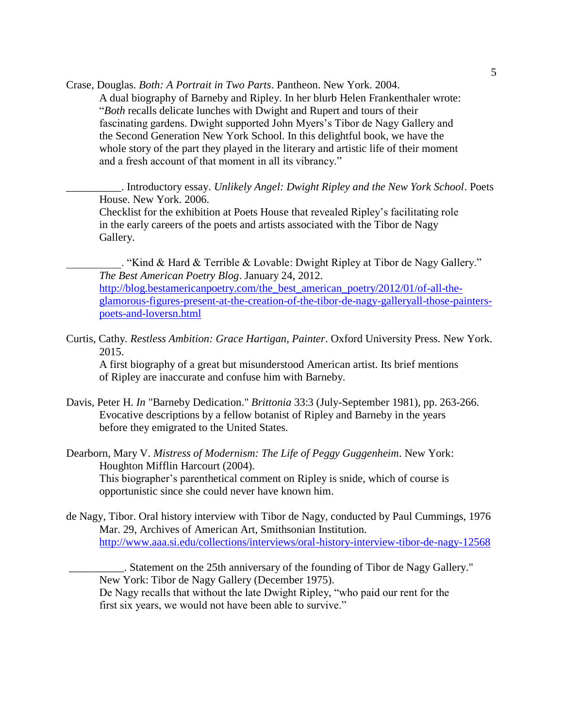Crase, Douglas. *Both: A Portrait in Two Parts*. Pantheon. New York. 2004.

A dual biography of Barneby and Ripley. In her blurb Helen Frankenthaler wrote: "*Both* recalls delicate lunches with Dwight and Rupert and tours of their fascinating gardens. Dwight supported John Myers's Tibor de Nagy Gallery and the Second Generation New York School. In this delightful book, we have the whole story of the part they played in the literary and artistic life of their moment and a fresh account of that moment in all its vibrancy."

\_\_\_\_\_\_\_\_\_\_. Introductory essay. *Unlikely Angel: Dwight Ripley and the New York School*. Poets House. New York. 2006.

Checklist for the exhibition at Poets House that revealed Ripley's facilitating role in the early careers of the poets and artists associated with the Tibor de Nagy Gallery.

. "Kind & Hard & Terrible & Lovable: Dwight Ripley at Tibor de Nagy Gallery." *The Best American Poetry Blog*. January 24, 2012. [http://blog.bestamericanpoetry.com/the\\_best\\_american\\_poetry/2012/01/of-all-the](http://blog.bestamericanpoetry.com/the_best_american_poetry/2012/01/of-all-the-glamorous-figures-present-at-the-creation-of-the-tibor-de-nagy-galleryall-those-painters-poets-and-loversn.html)[glamorous-figures-present-at-the-creation-of-the-tibor-de-nagy-galleryall-those-painters](http://blog.bestamericanpoetry.com/the_best_american_poetry/2012/01/of-all-the-glamorous-figures-present-at-the-creation-of-the-tibor-de-nagy-galleryall-those-painters-poets-and-loversn.html)[poets-and-loversn.html](http://blog.bestamericanpoetry.com/the_best_american_poetry/2012/01/of-all-the-glamorous-figures-present-at-the-creation-of-the-tibor-de-nagy-galleryall-those-painters-poets-and-loversn.html)

Curtis, Cathy. *Restless Ambition: Grace Hartigan, Painter*. Oxford University Press. New York. 2015.

A first biography of a great but misunderstood American artist. Its brief mentions of Ripley are inaccurate and confuse him with Barneby.

Davis, Peter H. *In* "Barneby Dedication." *Brittonia* 33:3 (July-September 1981), pp. 263-266. Evocative descriptions by a fellow botanist of Ripley and Barneby in the years before they emigrated to the United States.

Dearborn, Mary V. *Mistress of Modernism: The Life of Peggy Guggenheim*. New York: Houghton Mifflin Harcourt (2004). This biographer's parenthetical comment on Ripley is snide, which of course is opportunistic since she could never have known him.

de Nagy, Tibor. Oral history interview with Tibor de Nagy, conducted by Paul Cummings, 1976 Mar. 29, Archives of American Art, Smithsonian Institution. <http://www.aaa.si.edu/collections/interviews/oral-history-interview-tibor-de-nagy-12568>

. Statement on the 25th anniversary of the founding of Tibor de Nagy Gallery." New York: Tibor de Nagy Gallery (December 1975). De Nagy recalls that without the late Dwight Ripley, "who paid our rent for the first six years, we would not have been able to survive."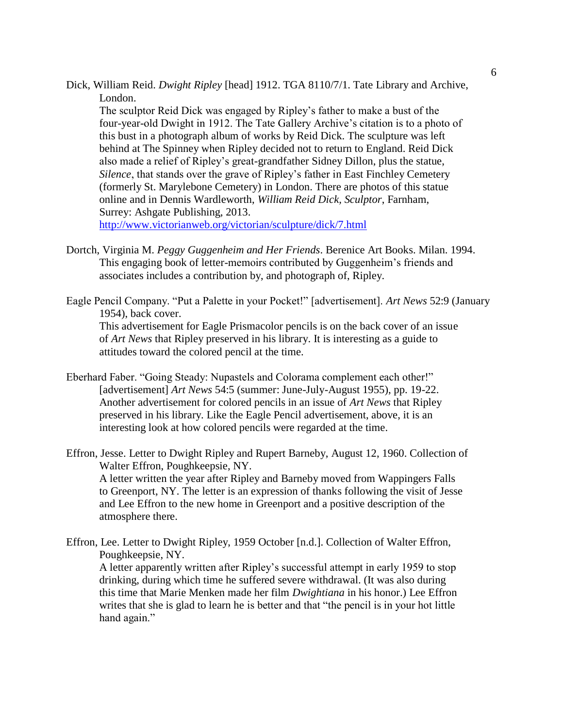Dick, William Reid. *Dwight Ripley* [head] 1912. TGA 8110/7/1. Tate Library and Archive, London.

The sculptor Reid Dick was engaged by Ripley's father to make a bust of the four-year-old Dwight in 1912. The Tate Gallery Archive's citation is to a photo of this bust in a photograph album of works by Reid Dick. The sculpture was left behind at The Spinney when Ripley decided not to return to England. Reid Dick also made a relief of Ripley's great-grandfather Sidney Dillon, plus the statue, *Silence*, that stands over the grave of Ripley's father in East Finchley Cemetery (formerly St. Marylebone Cemetery) in London. There are photos of this statue online and in Dennis Wardleworth, *William Reid Dick, Sculptor*, Farnham, Surrey: Ashgate Publishing, 2013.

<http://www.victorianweb.org/victorian/sculpture/dick/7.html>

- Dortch, Virginia M. *Peggy Guggenheim and Her Friends*. Berenice Art Books. Milan. 1994. This engaging book of letter-memoirs contributed by Guggenheim's friends and associates includes a contribution by, and photograph of, Ripley.
- Eagle Pencil Company. "Put a Palette in your Pocket!" [advertisement]. *Art News* 52:9 (January 1954), back cover. This advertisement for Eagle Prismacolor pencils is on the back cover of an issue of *Art News* that Ripley preserved in his library. It is interesting as a guide to attitudes toward the colored pencil at the time.
- Eberhard Faber. "Going Steady: Nupastels and Colorama complement each other!" [advertisement] *Art News* 54:5 (summer: June-July-August 1955), pp. 19-22. Another advertisement for colored pencils in an issue of *Art News* that Ripley preserved in his library. Like the Eagle Pencil advertisement, above, it is an interesting look at how colored pencils were regarded at the time.
- Effron, Jesse. Letter to Dwight Ripley and Rupert Barneby, August 12, 1960. Collection of Walter Effron, Poughkeepsie, NY. A letter written the year after Ripley and Barneby moved from Wappingers Falls to Greenport, NY. The letter is an expression of thanks following the visit of Jesse and Lee Effron to the new home in Greenport and a positive description of the atmosphere there.
- Effron, Lee. Letter to Dwight Ripley, 1959 October [n.d.]. Collection of Walter Effron, Poughkeepsie, NY. A letter apparently written after Ripley's successful attempt in early 1959 to stop drinking, during which time he suffered severe withdrawal. (It was also during this time that Marie Menken made her film *Dwightiana* in his honor.) Lee Effron writes that she is glad to learn he is better and that "the pencil is in your hot little hand again."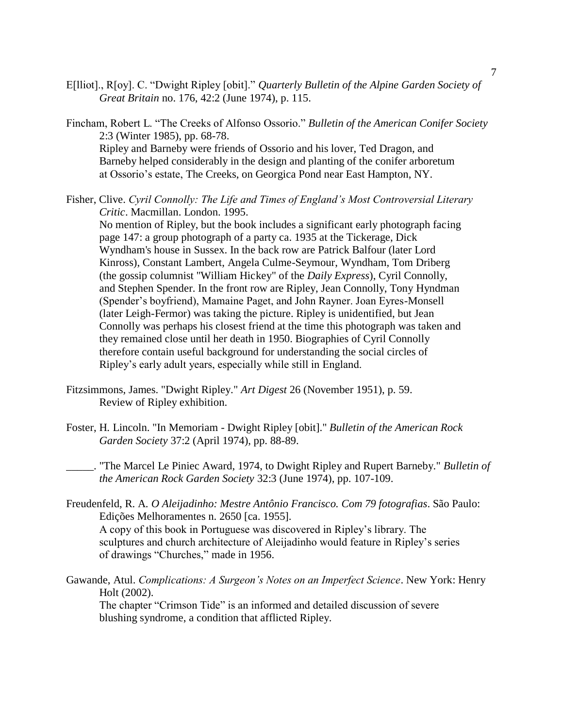- E[lliot]., R[oy]. C. "Dwight Ripley [obit]." *Quarterly Bulletin of the Alpine Garden Society of Great Britain* no. 176, 42:2 (June 1974), p. 115.
- Fincham, Robert L. "The Creeks of Alfonso Ossorio." *Bulletin of the American Conifer Society* 2:3 (Winter 1985), pp. 68-78. Ripley and Barneby were friends of Ossorio and his lover, Ted Dragon, and Barneby helped considerably in the design and planting of the conifer arboretum at Ossorio's estate, The Creeks, on Georgica Pond near East Hampton, NY.
- Fisher, Clive. *Cyril Connolly: The Life and Times of England's Most Controversial Literary Critic*. Macmillan. London. 1995.

No mention of Ripley, but the book includes a significant early photograph facing page 147: a group photograph of a party ca. 1935 at the Tickerage, Dick Wyndham's house in Sussex. In the back row are Patrick Balfour (later Lord Kinross), Constant Lambert, Angela Culme-Seymour, Wyndham, Tom Driberg (the gossip columnist "William Hickey" of the *Daily Express*), Cyril Connolly, and Stephen Spender. In the front row are Ripley, Jean Connolly, Tony Hyndman (Spender's boyfriend), Mamaine Paget, and John Rayner. Joan Eyres-Monsell (later Leigh-Fermor) was taking the picture. Ripley is unidentified, but Jean Connolly was perhaps his closest friend at the time this photograph was taken and they remained close until her death in 1950. Biographies of Cyril Connolly therefore contain useful background for understanding the social circles of Ripley's early adult years, especially while still in England.

- Fitzsimmons, James. "Dwight Ripley." *Art Digest* 26 (November 1951), p. 59. Review of Ripley exhibition.
- Foster, H. Lincoln. "In Memoriam Dwight Ripley [obit]." *Bulletin of the American Rock Garden Society* 37:2 (April 1974), pp. 88-89.
	- \_\_\_\_\_. "The Marcel Le Piniec Award, 1974, to Dwight Ripley and Rupert Barneby." *Bulletin of the American Rock Garden Society* 32:3 (June 1974), pp. 107-109.
- Freudenfeld, R. A. *O Aleijadinho: Mestre Antônio Francisco. Com 79 fotografias*. São Paulo: Edições Melhoramentes n. 2650 [ca. 1955]. A copy of this book in Portuguese was discovered in Ripley's library. The sculptures and church architecture of Aleijadinho would feature in Ripley's series of drawings "Churches," made in 1956.
- Gawande, Atul. *Complications: A Surgeon's Notes on an Imperfect Science*. New York: Henry Holt (2002).

The chapter "Crimson Tide" is an informed and detailed discussion of severe blushing syndrome, a condition that afflicted Ripley.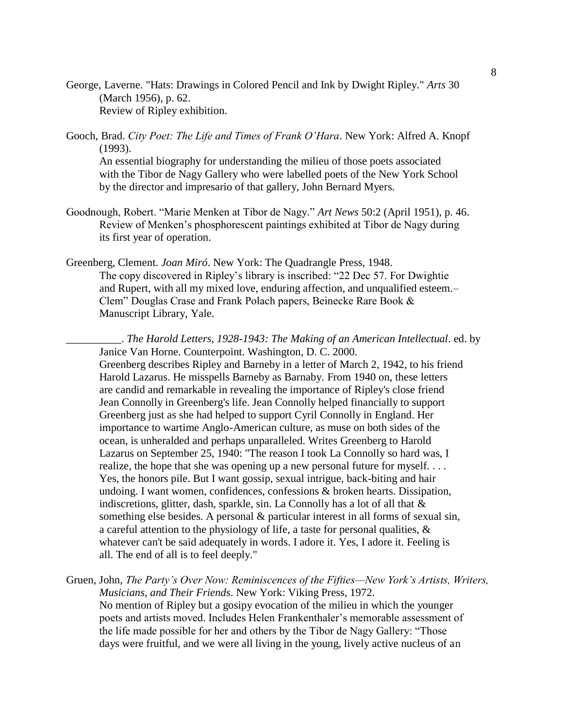George, Laverne. "Hats: Drawings in Colored Pencil and Ink by Dwight Ripley." *Arts* 30 (March 1956), p. 62. Review of Ripley exhibition.

Gooch, Brad. *City Poet: The Life and Times of Frank O'Hara*. New York: Alfred A. Knopf (1993).

An essential biography for understanding the milieu of those poets associated with the Tibor de Nagy Gallery who were labelled poets of the New York School by the director and impresario of that gallery, John Bernard Myers.

- Goodnough, Robert. "Marie Menken at Tibor de Nagy." *Art News* 50:2 (April 1951), p. 46. Review of Menken's phosphorescent paintings exhibited at Tibor de Nagy during its first year of operation.
- Greenberg, Clement. *Joan Miró*. New York: The Quadrangle Press, 1948. The copy discovered in Ripley's library is inscribed: "22 Dec 57. For Dwightie and Rupert, with all my mixed love, enduring affection, and unqualified esteem.– Clem" Douglas Crase and Frank Polach papers, Beinecke Rare Book & Manuscript Library, Yale.

\_\_\_\_\_\_\_\_\_\_. *The Harold Letters, 1928-1943: The Making of an American Intellectual*. ed. by Janice Van Horne. Counterpoint. Washington, D. C. 2000. Greenberg describes Ripley and Barneby in a letter of March 2, 1942, to his friend Harold Lazarus. He misspells Barneby as Barnaby. From 1940 on, these letters are candid and remarkable in revealing the importance of Ripley's close friend Jean Connolly in Greenberg's life. Jean Connolly helped financially to support Greenberg just as she had helped to support Cyril Connolly in England. Her importance to wartime Anglo-American culture, as muse on both sides of the ocean, is unheralded and perhaps unparalleled. Writes Greenberg to Harold Lazarus on September 25, 1940: "The reason I took La Connolly so hard was, I realize, the hope that she was opening up a new personal future for myself.... Yes, the honors pile. But I want gossip, sexual intrigue, back-biting and hair undoing. I want women, confidences, confessions & broken hearts. Dissipation, indiscretions, glitter, dash, sparkle, sin. La Connolly has a lot of all that  $\&$ something else besides. A personal & particular interest in all forms of sexual sin, a careful attention to the physiology of life, a taste for personal qualities, & whatever can't be said adequately in words. I adore it. Yes, I adore it. Feeling is all. The end of all is to feel deeply."

Gruen, John, *The Party's Over Now: Reminiscences of the Fifties—New York's Artists, Writers, Musicians, and Their Friends*. New York: Viking Press, 1972. No mention of Ripley but a gosipy evocation of the milieu in which the younger poets and artists moved. Includes Helen Frankenthaler's memorable assessment of the life made possible for her and others by the Tibor de Nagy Gallery: "Those days were fruitful, and we were all living in the young, lively active nucleus of an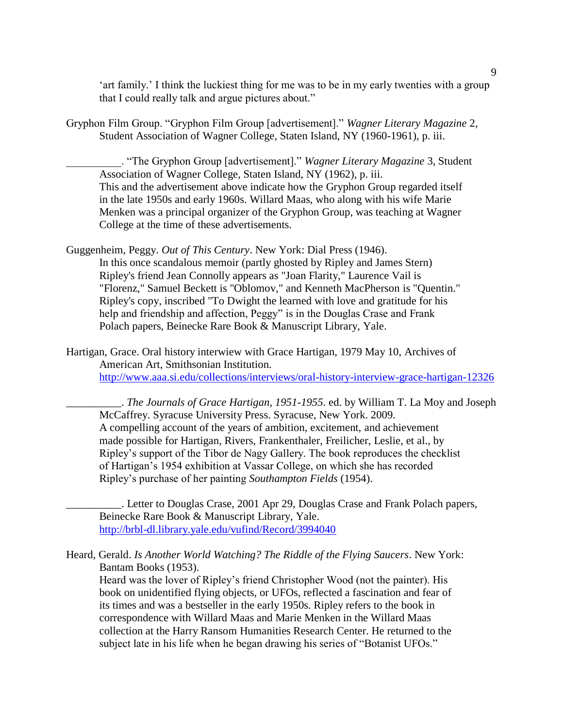'art family.' I think the luckiest thing for me was to be in my early twenties with a group that I could really talk and argue pictures about."

Gryphon Film Group. "Gryphon Film Group [advertisement]." *Wagner Literary Magazine* 2, Student Association of Wagner College, Staten Island, NY (1960-1961), p. iii.

\_\_\_\_\_\_\_\_\_\_. "The Gryphon Group [advertisement]." *Wagner Literary Magazine* 3, Student Association of Wagner College, Staten Island, NY (1962), p. iii. This and the advertisement above indicate how the Gryphon Group regarded itself in the late 1950s and early 1960s. Willard Maas, who along with his wife Marie Menken was a principal organizer of the Gryphon Group, was teaching at Wagner College at the time of these advertisements.

Guggenheim, Peggy. *Out of This Century*. New York: Dial Press (1946). In this once scandalous memoir (partly ghosted by Ripley and James Stern) Ripley's friend Jean Connolly appears as "Joan Flarity," Laurence Vail is "Florenz," Samuel Beckett is "Oblomov," and Kenneth MacPherson is "Quentin." Ripley's copy, inscribed "To Dwight the learned with love and gratitude for his help and friendship and affection, Peggy" is in the Douglas Crase and Frank Polach papers, Beinecke Rare Book & Manuscript Library, Yale.

Hartigan, Grace. Oral history interwiew with Grace Hartigan, 1979 May 10, Archives of American Art, Smithsonian Institution. <http://www.aaa.si.edu/collections/interviews/oral-history-interview-grace-hartigan-12326>

\_\_\_\_\_\_\_\_\_\_. *The Journals of Grace Hartigan, 1951-1955*. ed. by William T. La Moy and Joseph McCaffrey. Syracuse University Press. Syracuse, New York. 2009. A compelling account of the years of ambition, excitement, and achievement made possible for Hartigan, Rivers, Frankenthaler, Freilicher, Leslie, et al., by Ripley's support of the Tibor de Nagy Gallery. The book reproduces the checklist of Hartigan's 1954 exhibition at Vassar College, on which she has recorded Ripley's purchase of her painting *Southampton Fields* (1954).

\_\_\_\_\_\_\_\_\_\_. Letter to Douglas Crase, 2001 Apr 29, Douglas Crase and Frank Polach papers, Beinecke Rare Book & Manuscript Library, Yale. <http://brbl-dl.library.yale.edu/vufind/Record/3994040>

Heard, Gerald. *Is Another World Watching? The Riddle of the Flying Saucers*. New York: Bantam Books (1953).

Heard was the lover of Ripley's friend Christopher Wood (not the painter). His book on unidentified flying objects, or UFOs, reflected a fascination and fear of its times and was a bestseller in the early 1950s. Ripley refers to the book in correspondence with Willard Maas and Marie Menken in the Willard Maas collection at the Harry Ransom Humanities Research Center. He returned to the subject late in his life when he began drawing his series of "Botanist UFOs."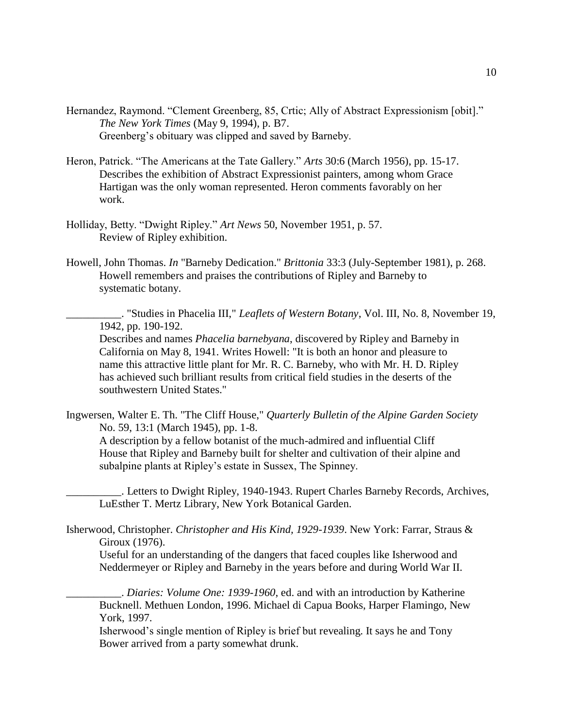- Hernandez, Raymond. "Clement Greenberg, 85, Crtic; Ally of Abstract Expressionism [obit]." *The New York Times* (May 9, 1994), p. B7. Greenberg's obituary was clipped and saved by Barneby.
- Heron, Patrick. "The Americans at the Tate Gallery." *Arts* 30:6 (March 1956), pp. 15-17. Describes the exhibition of Abstract Expressionist painters, among whom Grace Hartigan was the only woman represented. Heron comments favorably on her work.
- Holliday, Betty. "Dwight Ripley." *Art News* 50, November 1951, p. 57. Review of Ripley exhibition.
- Howell, John Thomas. *In* "Barneby Dedication." *Brittonia* 33:3 (July-September 1981), p. 268. Howell remembers and praises the contributions of Ripley and Barneby to systematic botany.

\_\_\_\_\_\_\_\_\_\_. "Studies in Phacelia III," *Leaflets of Western Botany*, Vol. III, No. 8, November 19, 1942, pp. 190-192.

Describes and names *Phacelia barnebyana*, discovered by Ripley and Barneby in California on May 8, 1941. Writes Howell: "It is both an honor and pleasure to name this attractive little plant for Mr. R. C. Barneby, who with Mr. H. D. Ripley has achieved such brilliant results from critical field studies in the deserts of the southwestern United States."

Ingwersen, Walter E. Th. "The Cliff House," *Quarterly Bulletin of the Alpine Garden Society* No. 59, 13:1 (March 1945), pp. 1-8.

A description by a fellow botanist of the much-admired and influential Cliff House that Ripley and Barneby built for shelter and cultivation of their alpine and subalpine plants at Ripley's estate in Sussex, The Spinney.

. Letters to Dwight Ripley, 1940-1943. Rupert Charles Barneby Records, Archives, LuEsther T. Mertz Library, New York Botanical Garden.

Isherwood, Christopher. *Christopher and His Kind, 1929-1939*. New York: Farrar, Straus & Giroux (1976).

Useful for an understanding of the dangers that faced couples like Isherwood and Neddermeyer or Ripley and Barneby in the years before and during World War II.

\_\_\_\_\_\_\_\_\_\_. *Diaries: Volume One: 1939-1960*, ed. and with an introduction by Katherine Bucknell. Methuen London, 1996. Michael di Capua Books, Harper Flamingo, New York, 1997.

Isherwood's single mention of Ripley is brief but revealing. It says he and Tony Bower arrived from a party somewhat drunk.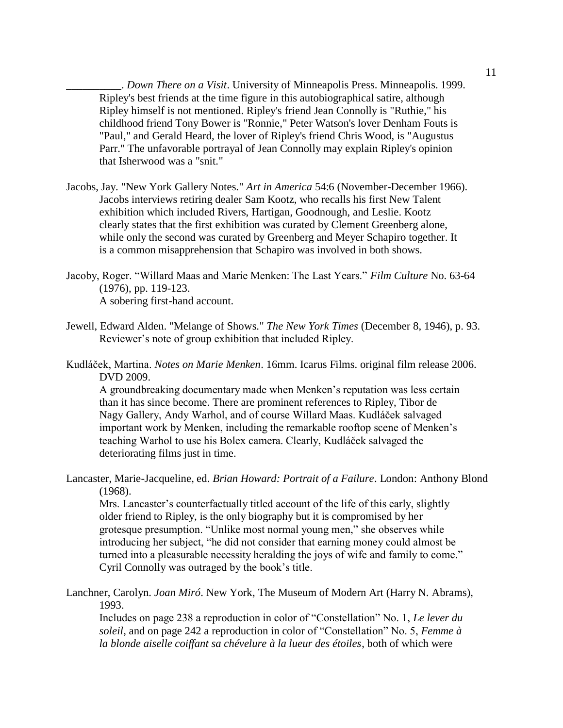\_\_\_\_\_\_\_\_\_\_. *Down There on a Visit*. University of Minneapolis Press. Minneapolis. 1999. Ripley's best friends at the time figure in this autobiographical satire, although Ripley himself is not mentioned. Ripley's friend Jean Connolly is "Ruthie," his childhood friend Tony Bower is "Ronnie," Peter Watson's lover Denham Fouts is "Paul," and Gerald Heard, the lover of Ripley's friend Chris Wood, is "Augustus Parr." The unfavorable portrayal of Jean Connolly may explain Ripley's opinion that Isherwood was a "snit."

- Jacobs, Jay. "New York Gallery Notes." *Art in America* 54:6 (November-December 1966). Jacobs interviews retiring dealer Sam Kootz, who recalls his first New Talent exhibition which included Rivers, Hartigan, Goodnough, and Leslie. Kootz clearly states that the first exhibition was curated by Clement Greenberg alone, while only the second was curated by Greenberg and Meyer Schapiro together. It is a common misapprehension that Schapiro was involved in both shows.
- Jacoby, Roger. "Willard Maas and Marie Menken: The Last Years." *Film Culture* No. 63-64 (1976), pp. 119-123. A sobering first-hand account.
- Jewell, Edward Alden. "Melange of Shows." *The New York Times* (December 8, 1946), p. 93. Reviewer's note of group exhibition that included Ripley.
- Kudláček, Martina. *Notes on Marie Menken*. 16mm. Icarus Films. original film release 2006. DVD 2009.

A groundbreaking documentary made when Menken's reputation was less certain than it has since become. There are prominent references to Ripley, Tibor de Nagy Gallery, Andy Warhol, and of course Willard Maas. Kudláček salvaged important work by Menken, including the remarkable rooftop scene of Menken's teaching Warhol to use his Bolex camera. Clearly, Kudláček salvaged the deteriorating films just in time.

Lancaster, Marie-Jacqueline, ed. *Brian Howard: Portrait of a Failure*. London: Anthony Blond (1968).

Mrs. Lancaster's counterfactually titled account of the life of this early, slightly older friend to Ripley, is the only biography but it is compromised by her grotesque presumption. "Unlike most normal young men," she observes while introducing her subject, "he did not consider that earning money could almost be turned into a pleasurable necessity heralding the joys of wife and family to come." Cyril Connolly was outraged by the book's title.

Lanchner, Carolyn. *Joan Miró*. New York, The Museum of Modern Art (Harry N. Abrams), 1993.

Includes on page 238 a reproduction in color of "Constellation" No. 1, *Le lever du soleil*, and on page 242 a reproduction in color of "Constellation" No. 5, *Femme à la blonde aiselle coiffant sa chévelure à la lueur des étoiles*, both of which were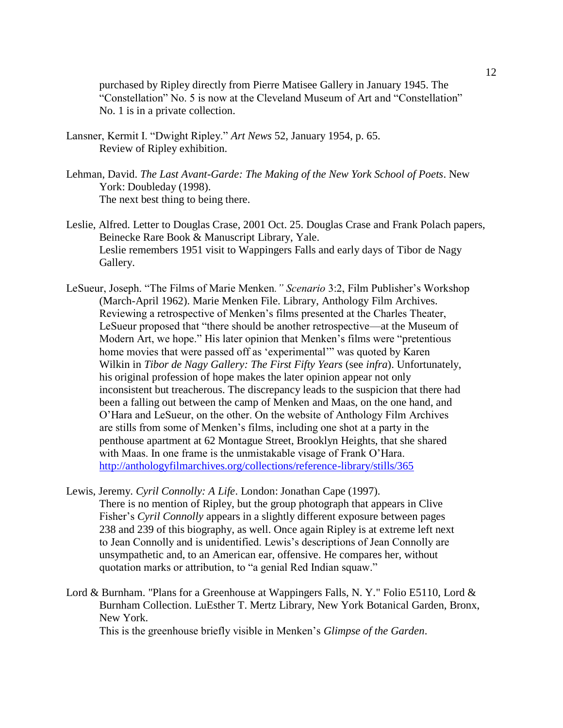purchased by Ripley directly from Pierre Matisee Gallery in January 1945. The "Constellation" No. 5 is now at the Cleveland Museum of Art and "Constellation" No. 1 is in a private collection.

- Lansner, Kermit I. "Dwight Ripley." *Art News* 52, January 1954, p. 65. Review of Ripley exhibition.
- Lehman, David. *The Last Avant-Garde: The Making of the New York School of Poets*. New York: Doubleday (1998). The next best thing to being there.
- Leslie, Alfred. Letter to Douglas Crase, 2001 Oct. 25. Douglas Crase and Frank Polach papers, Beinecke Rare Book & Manuscript Library, Yale. Leslie remembers 1951 visit to Wappingers Falls and early days of Tibor de Nagy Gallery.
- LeSueur, Joseph. "The Films of Marie Menken*." Scenario* 3:2, Film Publisher's Workshop (March-April 1962). Marie Menken File. Library, Anthology Film Archives. Reviewing a retrospective of Menken's films presented at the Charles Theater, LeSueur proposed that "there should be another retrospective—at the Museum of Modern Art, we hope." His later opinion that Menken's films were "pretentious home movies that were passed off as 'experimental'" was quoted by Karen Wilkin in *Tibor de Nagy Gallery: The First Fifty Years* (see *infra*). Unfortunately, his original profession of hope makes the later opinion appear not only inconsistent but treacherous. The discrepancy leads to the suspicion that there had been a falling out between the camp of Menken and Maas, on the one hand, and O'Hara and LeSueur, on the other. On the website of Anthology Film Archives are stills from some of Menken's films, including one shot at a party in the penthouse apartment at 62 Montague Street, Brooklyn Heights, that she shared with Maas. In one frame is the unmistakable visage of Frank O'Hara. <http://anthologyfilmarchives.org/collections/reference-library/stills/365>
- Lewis, Jeremy. *Cyril Connolly: A Life*. London: Jonathan Cape (1997). There is no mention of Ripley, but the group photograph that appears in Clive Fisher's *Cyril Connolly* appears in a slightly different exposure between pages 238 and 239 of this biography, as well. Once again Ripley is at extreme left next to Jean Connolly and is unidentified. Lewis's descriptions of Jean Connolly are unsympathetic and, to an American ear, offensive. He compares her, without quotation marks or attribution, to "a genial Red Indian squaw."
- Lord & Burnham. "Plans for a Greenhouse at Wappingers Falls, N.Y." Folio E5110, Lord & Burnham Collection. LuEsther T. Mertz Library, New York Botanical Garden, Bronx, New York.

This is the greenhouse briefly visible in Menken's *Glimpse of the Garden*.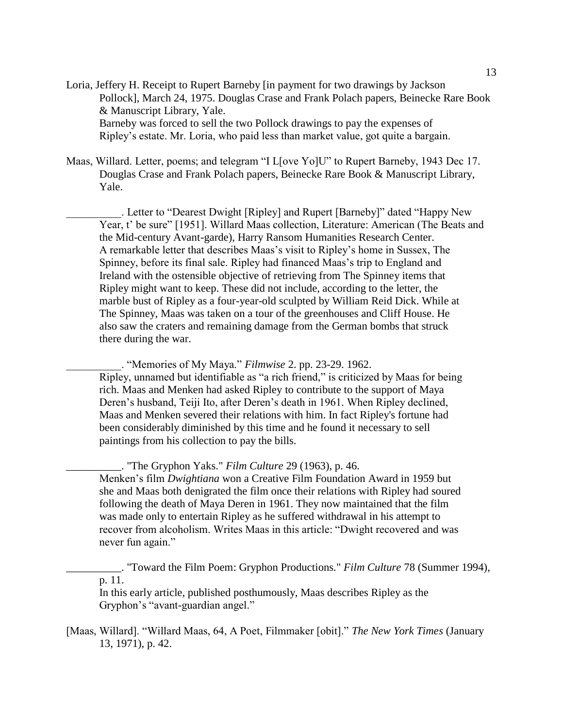Loria, Jeffery H. Receipt to Rupert Barneby [in payment for two drawings by Jackson Pollock], March 24, 1975. Douglas Crase and Frank Polach papers, Beinecke Rare Book & Manuscript Library, Yale. Barneby was forced to sell the two Pollock drawings to pay the expenses of

Ripley's estate. Mr. Loria, who paid less than market value, got quite a bargain.

Maas, Willard. Letter, poems; and telegram "I L[ove Yo]U" to Rupert Barneby, 1943 Dec 17. Douglas Crase and Frank Polach papers, Beinecke Rare Book & Manuscript Library, Yale.

. Letter to "Dearest Dwight [Ripley] and Rupert [Barneby]" dated "Happy New Year, t' be sure" [1951]. Willard Maas collection, Literature: American (The Beats and the Mid-century Avant-garde), Harry Ransom Humanities Research Center. A remarkable letter that describes Maas's visit to Ripley's home in Sussex, The Spinney, before its final sale. Ripley had financed Maas's trip to England and Ireland with the ostensible objective of retrieving from The Spinney items that Ripley might want to keep. These did not include, according to the letter, the marble bust of Ripley as a four-year-old sculpted by William Reid Dick. While at The Spinney, Maas was taken on a tour of the greenhouses and Cliff House. He also saw the craters and remaining damage from the German bombs that struck there during the war.

\_\_\_\_\_\_\_\_\_\_. "Memories of My Maya." *Filmwise* 2. pp. 23-29. 1962. Ripley, unnamed but identifiable as "a rich friend," is criticized by Maas for being rich. Maas and Menken had asked Ripley to contribute to the support of Maya Deren's husband, Teiji Ito, after Deren's death in 1961. When Ripley declined, Maas and Menken severed their relations with him. In fact Ripley's fortune had been considerably diminished by this time and he found it necessary to sell paintings from his collection to pay the bills.

\_\_\_\_\_\_\_\_\_\_. "The Gryphon Yaks." *Film Culture* 29 (1963), p. 46.

Menken's film *Dwightiana* won a Creative Film Foundation Award in 1959 but she and Maas both denigrated the film once their relations with Ripley had soured following the death of Maya Deren in 1961. They now maintained that the film was made only to entertain Ripley as he suffered withdrawal in his attempt to recover from alcoholism. Writes Maas in this article: "Dwight recovered and was never fun again."

\_\_\_\_\_\_\_\_\_\_. "Toward the Film Poem: Gryphon Productions." *Film Culture* 78 (Summer 1994), p. 11.

In this early article, published posthumously, Maas describes Ripley as the Gryphon's "avant-guardian angel."

[Maas, Willard]. "Willard Maas, 64, A Poet, Filmmaker [obit]." *The New York Times* (January 13, 1971), p. 42.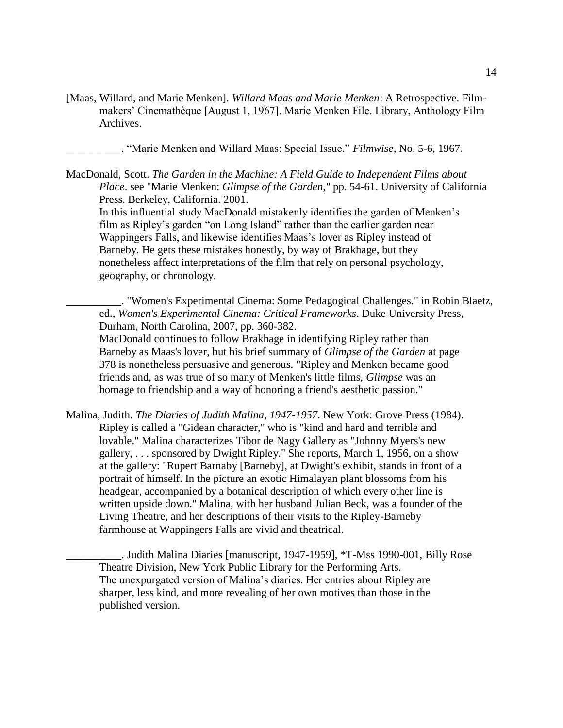[Maas, Willard, and Marie Menken]. *Willard Maas and Marie Menken*: A Retrospective. Filmmakers' Cinemathèque [August 1, 1967]. Marie Menken File. Library, Anthology Film Archives.

\_\_\_\_\_\_\_\_\_\_. "Marie Menken and Willard Maas: Special Issue." *Filmwise*, No. 5-6, 1967.

MacDonald, Scott. *The Garden in the Machine: A Field Guide to Independent Films about Place*. see "Marie Menken: *Glimpse of the Garden*," pp. 54-61. University of California Press. Berkeley, California. 2001.

In this influential study MacDonald mistakenly identifies the garden of Menken's film as Ripley's garden "on Long Island" rather than the earlier garden near Wappingers Falls, and likewise identifies Maas's lover as Ripley instead of Barneby. He gets these mistakes honestly, by way of Brakhage, but they nonetheless affect interpretations of the film that rely on personal psychology, geography, or chronology.

\_\_\_\_\_\_\_\_\_\_. "Women's Experimental Cinema: Some Pedagogical Challenges." in Robin Blaetz, ed., *Women's Experimental Cinema: Critical Frameworks*. Duke University Press, Durham, North Carolina, 2007, pp. 360-382.

MacDonald continues to follow Brakhage in identifying Ripley rather than Barneby as Maas's lover, but his brief summary of *Glimpse of the Garden* at page 378 is nonetheless persuasive and generous. "Ripley and Menken became good friends and, as was true of so many of Menken's little films, *Glimpse* was an homage to friendship and a way of honoring a friend's aesthetic passion."

Malina, Judith. *The Diaries of Judith Malina, 1947-1957*. New York: Grove Press (1984). Ripley is called a "Gidean character," who is "kind and hard and terrible and lovable." Malina characterizes Tibor de Nagy Gallery as "Johnny Myers's new gallery, . . . sponsored by Dwight Ripley." She reports, March 1, 1956, on a show at the gallery: "Rupert Barnaby [Barneby], at Dwight's exhibit, stands in front of a portrait of himself. In the picture an exotic Himalayan plant blossoms from his headgear, accompanied by a botanical description of which every other line is written upside down." Malina, with her husband Julian Beck, was a founder of the Living Theatre, and her descriptions of their visits to the Ripley-Barneby farmhouse at Wappingers Falls are vivid and theatrical.

\_\_\_\_\_\_\_\_\_\_. Judith Malina Diaries [manuscript, 1947-1959], \*T-Mss 1990-001, Billy Rose Theatre Division, New York Public Library for the Performing Arts. The unexpurgated version of Malina's diaries. Her entries about Ripley are sharper, less kind, and more revealing of her own motives than those in the published version.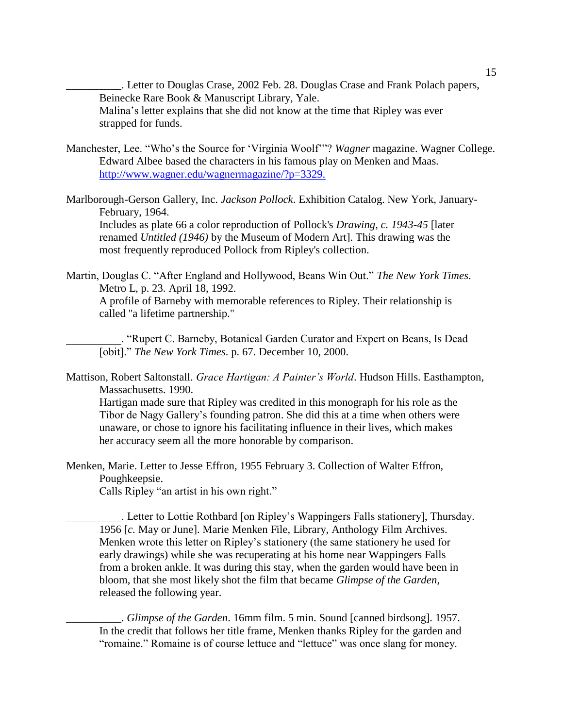\_\_\_\_\_\_\_\_\_\_. Letter to Douglas Crase, 2002 Feb. 28. Douglas Crase and Frank Polach papers, Beinecke Rare Book & Manuscript Library, Yale. Malina's letter explains that she did not know at the time that Ripley was ever strapped for funds.

- Manchester, Lee. "Who's the Source for 'Virginia Woolf'"? *Wagner* magazine. Wagner College. Edward Albee based the characters in his famous play on Menken and Maas. <http://www.wagner.edu/wagnermagazine/?p=3329.>
- Marlborough-Gerson Gallery, Inc. *Jackson Pollock*. Exhibition Catalog. New York, January-February, 1964.

Includes as plate 66 a color reproduction of Pollock's *Drawing, c. 1943-45* [later renamed *Untitled (1946)* by the Museum of Modern Art]. This drawing was the most frequently reproduced Pollock from Ripley's collection.

Martin, Douglas C. "After England and Hollywood, Beans Win Out." *The New York Times*. Metro L, p. 23. April 18, 1992. A profile of Barneby with memorable references to Ripley. Their relationship is called "a lifetime partnership."

\_\_\_\_\_\_\_\_\_\_. "Rupert C. Barneby, Botanical Garden Curator and Expert on Beans, Is Dead [obit]." *The New York Times*. p. 67. December 10, 2000.

Mattison, Robert Saltonstall. *Grace Hartigan: A Painter's World*. Hudson Hills. Easthampton, Massachusetts. 1990.

Hartigan made sure that Ripley was credited in this monograph for his role as the Tibor de Nagy Gallery's founding patron. She did this at a time when others were unaware, or chose to ignore his facilitating influence in their lives, which makes her accuracy seem all the more honorable by comparison.

Menken, Marie. Letter to Jesse Effron, 1955 February 3. Collection of Walter Effron, Poughkeepsie.

Calls Ripley "an artist in his own right."

\_\_\_\_\_\_\_\_\_\_. Letter to Lottie Rothbard [on Ripley's Wappingers Falls stationery], Thursday. 1956 [*c.* May or June]. Marie Menken File, Library, Anthology Film Archives. Menken wrote this letter on Ripley's stationery (the same stationery he used for early drawings) while she was recuperating at his home near Wappingers Falls from a broken ankle. It was during this stay, when the garden would have been in bloom, that she most likely shot the film that became *Glimpse of the Garden*, released the following year.

\_\_\_\_\_\_\_\_\_\_. *Glimpse of the Garden*. 16mm film. 5 min. Sound [canned birdsong]. 1957. In the credit that follows her title frame, Menken thanks Ripley for the garden and "romaine." Romaine is of course lettuce and "lettuce" was once slang for money.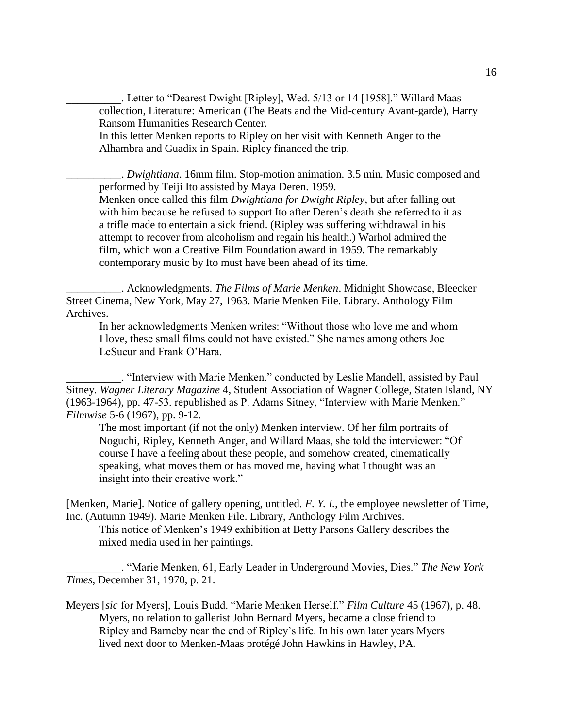. Letter to "Dearest Dwight [Ripley], Wed. 5/13 or 14 [1958]." Willard Maas collection, Literature: American (The Beats and the Mid-century Avant-garde), Harry Ransom Humanities Research Center.

In this letter Menken reports to Ripley on her visit with Kenneth Anger to the Alhambra and Guadix in Spain. Ripley financed the trip.

\_\_\_\_\_\_\_\_\_\_. *Dwightiana*. 16mm film. Stop-motion animation. 3.5 min. Music composed and performed by Teiji Ito assisted by Maya Deren. 1959. Menken once called this film *Dwightiana for Dwight Ripley*, but after falling out with him because he refused to support Ito after Deren's death she referred to it as a trifle made to entertain a sick friend. (Ripley was suffering withdrawal in his attempt to recover from alcoholism and regain his health.) Warhol admired the film, which won a Creative Film Foundation award in 1959. The remarkably contemporary music by Ito must have been ahead of its time.

\_\_\_\_\_\_\_\_\_\_. Acknowledgments. *The Films of Marie Menken*. Midnight Showcase, Bleecker Street Cinema, New York, May 27, 1963. Marie Menken File. Library. Anthology Film Archives.

In her acknowledgments Menken writes: "Without those who love me and whom I love, these small films could not have existed." She names among others Joe LeSueur and Frank O'Hara.

\_\_\_\_\_\_\_\_\_\_. "Interview with Marie Menken." conducted by Leslie Mandell, assisted by Paul Sitney. *Wagner Literary Magazine* 4, Student Association of Wagner College, Staten Island, NY (1963-1964), pp. 47-53. republished as P. Adams Sitney, "Interview with Marie Menken." *Filmwise* 5-6 (1967), pp. 9-12.

The most important (if not the only) Menken interview. Of her film portraits of Noguchi, Ripley, Kenneth Anger, and Willard Maas, she told the interviewer: "Of course I have a feeling about these people, and somehow created, cinematically speaking, what moves them or has moved me, having what I thought was an insight into their creative work."

[Menken, Marie]. Notice of gallery opening, untitled. *F. Y. I.*, the employee newsletter of Time, Inc. (Autumn 1949). Marie Menken File. Library, Anthology Film Archives.

This notice of Menken's 1949 exhibition at Betty Parsons Gallery describes the mixed media used in her paintings.

\_\_\_\_\_\_\_\_\_\_. "Marie Menken, 61, Early Leader in Underground Movies, Dies." *The New York Times*, December 31, 1970, p. 21.

Meyers [*sic* for Myers], Louis Budd. "Marie Menken Herself." *Film Culture* 45 (1967), p. 48. Myers, no relation to gallerist John Bernard Myers, became a close friend to Ripley and Barneby near the end of Ripley's life. In his own later years Myers lived next door to Menken-Maas protégé John Hawkins in Hawley, PA.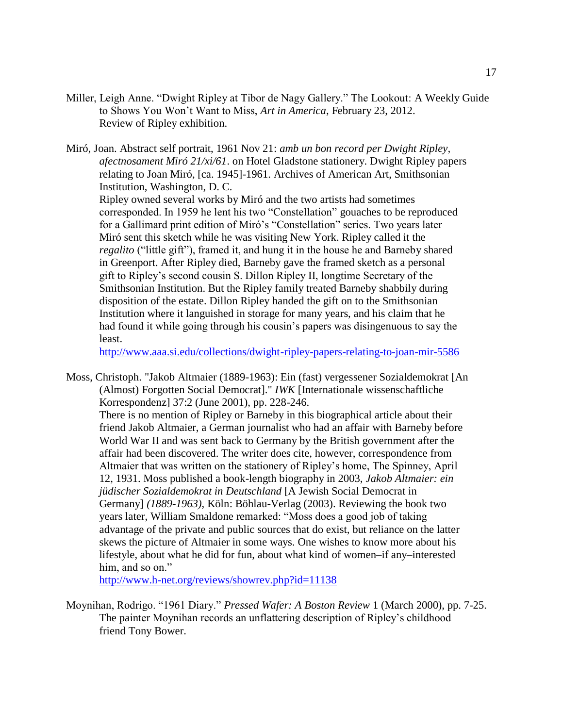Miller, Leigh Anne. "Dwight Ripley at Tibor de Nagy Gallery." The Lookout: A Weekly Guide to Shows You Won't Want to Miss, *Art in America*, February 23, 2012. Review of Ripley exhibition.

Miró, Joan. Abstract self portrait, 1961 Nov 21: *amb un bon record per Dwight Ripley, afectnosament Miró 21/xi/61*. on Hotel Gladstone stationery. Dwight Ripley papers relating to Joan Miró, [ca. 1945]-1961. Archives of American Art, Smithsonian Institution, Washington, D. C. Ripley owned several works by Miró and the two artists had sometimes corresponded. In 1959 he lent his two "Constellation" gouaches to be reproduced for a Gallimard print edition of Miró's "Constellation" series. Two years later Miró sent this sketch while he was visiting New York. Ripley called it the *regalito* ("little gift"), framed it, and hung it in the house he and Barneby shared in Greenport. After Ripley died, Barneby gave the framed sketch as a personal gift to Ripley's second cousin S. Dillon Ripley II, longtime Secretary of the Smithsonian Institution. But the Ripley family treated Barneby shabbily during disposition of the estate. Dillon Ripley handed the gift on to the Smithsonian Institution where it languished in storage for many years, and his claim that he had found it while going through his cousin's papers was disingenuous to say the least.

<http://www.aaa.si.edu/collections/dwight-ripley-papers-relating-to-joan-mir-5586>

Moss, Christoph. "Jakob Altmaier (1889-1963): Ein (fast) vergessener Sozialdemokrat [An (Almost) Forgotten Social Democrat]." *IWK* [Internationale wissenschaftliche Korrespondenz] 37:2 (June 2001), pp. 228-246.

There is no mention of Ripley or Barneby in this biographical article about their friend Jakob Altmaier, a German journalist who had an affair with Barneby before World War II and was sent back to Germany by the British government after the affair had been discovered. The writer does cite, however, correspondence from Altmaier that was written on the stationery of Ripley's home, The Spinney, April 12, 1931. Moss published a book-length biography in 2003, *Jakob Altmaier: ein jüdischer Sozialdemokrat in Deutschland* [A Jewish Social Democrat in Germany] *(1889-1963)*, Köln: Böhlau-Verlag (2003). Reviewing the book two years later, William Smaldone remarked: "Moss does a good job of taking advantage of the private and public sources that do exist, but reliance on the latter skews the picture of Altmaier in some ways. One wishes to know more about his lifestyle, about what he did for fun, about what kind of women–if any–interested him, and so on."

<http://www.h-net.org/reviews/showrev.php?id=11138>

Moynihan, Rodrigo. "1961 Diary." *Pressed Wafer: A Boston Review* 1 (March 2000), pp. 7-25. The painter Moynihan records an unflattering description of Ripley's childhood friend Tony Bower.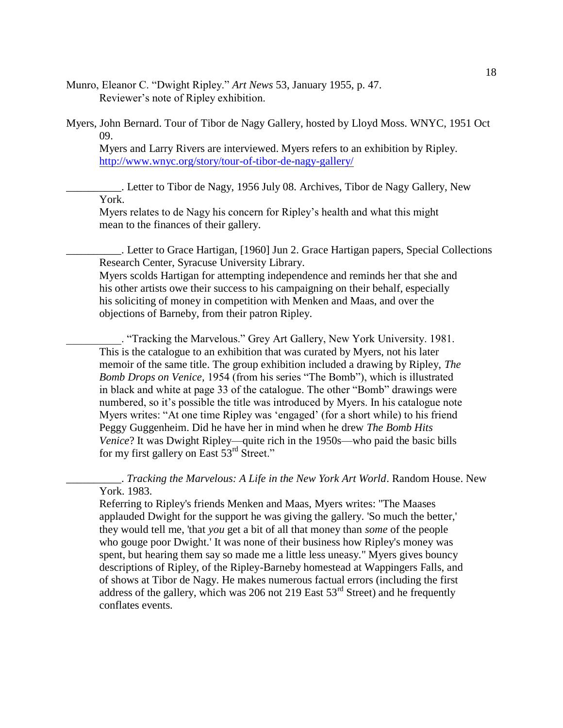Munro, Eleanor C. "Dwight Ripley." *Art News* 53, January 1955, p. 47. Reviewer's note of Ripley exhibition.

Myers, John Bernard. Tour of Tibor de Nagy Gallery, hosted by Lloyd Moss. WNYC, 1951 Oct 09.

Myers and Larry Rivers are interviewed. Myers refers to an exhibition by Ripley. <http://www.wnyc.org/story/tour-of-tibor-de-nagy-gallery/>

\_\_\_\_\_\_\_\_\_\_. Letter to Tibor de Nagy, 1956 July 08. Archives, Tibor de Nagy Gallery, New York.

Myers relates to de Nagy his concern for Ripley's health and what this might mean to the finances of their gallery.

\_\_\_\_\_\_\_\_\_\_. Letter to Grace Hartigan, [1960] Jun 2. Grace Hartigan papers, Special Collections Research Center, Syracuse University Library.

Myers scolds Hartigan for attempting independence and reminds her that she and his other artists owe their success to his campaigning on their behalf, especially his soliciting of money in competition with Menken and Maas, and over the objections of Barneby, from their patron Ripley.

\_\_\_\_\_\_\_\_\_\_. "Tracking the Marvelous." Grey Art Gallery, New York University. 1981. This is the catalogue to an exhibition that was curated by Myers, not his later memoir of the same title. The group exhibition included a drawing by Ripley, *The Bomb Drops on Venice,* 1954 (from his series "The Bomb"), which is illustrated in black and white at page 33 of the catalogue. The other "Bomb" drawings were numbered, so it's possible the title was introduced by Myers. In his catalogue note Myers writes: "At one time Ripley was 'engaged' (for a short while) to his friend Peggy Guggenheim. Did he have her in mind when he drew *The Bomb Hits Venice*? It was Dwight Ripley—quite rich in the 1950s—who paid the basic bills for my first gallery on East  $53<sup>rd</sup>$  Street."

\_\_\_\_\_\_\_\_\_\_. *Tracking the Marvelous: A Life in the New York Art World*. Random House. New York. 1983.

Referring to Ripley's friends Menken and Maas, Myers writes: "The Maases applauded Dwight for the support he was giving the gallery. 'So much the better,' they would tell me, 'that *you* get a bit of all that money than *some* of the people who gouge poor Dwight.' It was none of their business how Ripley's money was spent, but hearing them say so made me a little less uneasy." Myers gives bouncy descriptions of Ripley, of the Ripley-Barneby homestead at Wappingers Falls, and of shows at Tibor de Nagy. He makes numerous factual errors (including the first address of the gallery, which was 206 not 219 East  $53<sup>rd</sup>$  Street) and he frequently conflates events.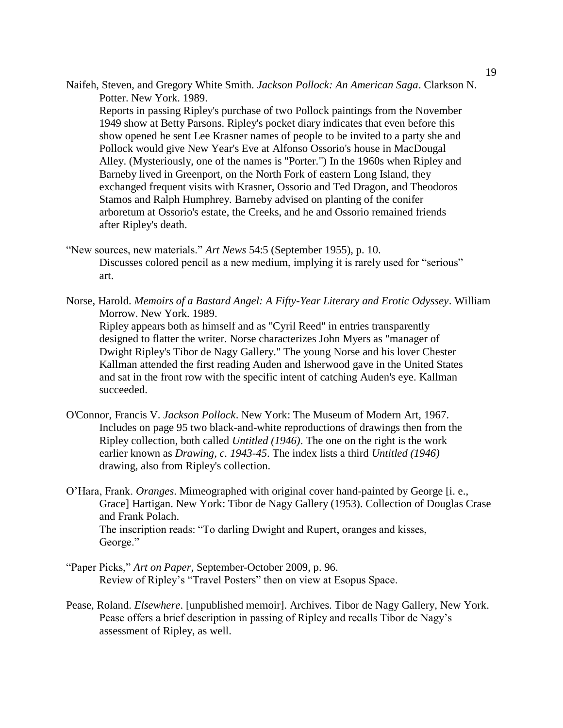Naifeh, Steven, and Gregory White Smith. *Jackson Pollock: An American Saga*. Clarkson N. Potter. New York. 1989. Reports in passing Ripley's purchase of two Pollock paintings from the November 1949 show at Betty Parsons. Ripley's pocket diary indicates that even before this

show opened he sent Lee Krasner names of people to be invited to a party she and Pollock would give New Year's Eve at Alfonso Ossorio's house in MacDougal Alley. (Mysteriously, one of the names is "Porter.") In the 1960s when Ripley and Barneby lived in Greenport, on the North Fork of eastern Long Island, they exchanged frequent visits with Krasner, Ossorio and Ted Dragon, and Theodoros Stamos and Ralph Humphrey. Barneby advised on planting of the conifer arboretum at Ossorio's estate, the Creeks, and he and Ossorio remained friends after Ripley's death.

- "New sources, new materials." *Art News* 54:5 (September 1955), p. 10. Discusses colored pencil as a new medium, implying it is rarely used for "serious" art.
- Norse, Harold. *Memoirs of a Bastard Angel: A Fifty-Year Literary and Erotic Odyssey*. William Morrow. New York. 1989. Ripley appears both as himself and as "Cyril Reed" in entries transparently designed to flatter the writer. Norse characterizes John Myers as "manager of Dwight Ripley's Tibor de Nagy Gallery." The young Norse and his lover Chester Kallman attended the first reading Auden and Isherwood gave in the United States and sat in the front row with the specific intent of catching Auden's eye. Kallman succeeded.
- O'Connor, Francis V. *Jackson Pollock*. New York: The Museum of Modern Art, 1967. Includes on page 95 two black-and-white reproductions of drawings then from the Ripley collection, both called *Untitled (1946)*. The one on the right is the work earlier known as *Drawing, c. 1943-45*. The index lists a third *Untitled (1946)* drawing, also from Ripley's collection.
- O'Hara, Frank. *Oranges*. Mimeographed with original cover hand-painted by George [i. e., Grace] Hartigan. New York: Tibor de Nagy Gallery (1953). Collection of Douglas Crase and Frank Polach. The inscription reads: "To darling Dwight and Rupert, oranges and kisses, George."
- "Paper Picks," *Art on Paper*, September-October 2009, p. 96. Review of Ripley's "Travel Posters" then on view at Esopus Space.
- Pease, Roland. *Elsewhere*. [unpublished memoir]. Archives. Tibor de Nagy Gallery, New York. Pease offers a brief description in passing of Ripley and recalls Tibor de Nagy's assessment of Ripley, as well.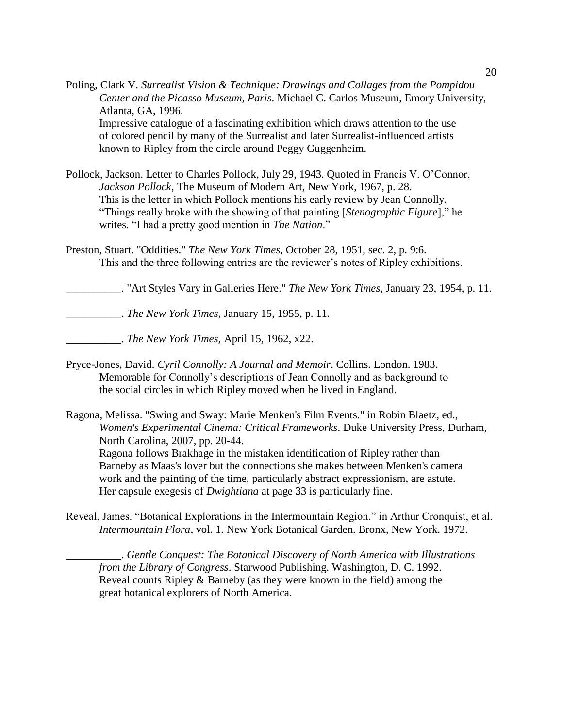Poling, Clark V. *Surrealist Vision & Technique: Drawings and Collages from the Pompidou Center and the Picasso Museum, Paris*. Michael C. Carlos Museum, Emory University, Atlanta, GA, 1996.

Impressive catalogue of a fascinating exhibition which draws attention to the use of colored pencil by many of the Surrealist and later Surrealist-influenced artists known to Ripley from the circle around Peggy Guggenheim.

- Pollock, Jackson. Letter to Charles Pollock, July 29, 1943. Quoted in Francis V. O'Connor, *Jackson Pollock*, The Museum of Modern Art, New York, 1967, p. 28. This is the letter in which Pollock mentions his early review by Jean Connolly. "Things really broke with the showing of that painting [*Stenographic Figure*]," he writes. "I had a pretty good mention in *The Nation*."
- Preston, Stuart. "Oddities." *The New York Times,* October 28, 1951, sec. 2, p. 9:6. This and the three following entries are the reviewer's notes of Ripley exhibitions.

\_\_\_\_\_\_\_\_\_\_. "Art Styles Vary in Galleries Here." *The New York Times,* January 23, 1954, p. 11.

\_\_\_\_\_\_\_\_\_\_. *The New York Times*, January 15, 1955, p. 11.

\_\_\_\_\_\_\_\_\_\_. *The New York Times,* April 15, 1962, x22.

- Pryce-Jones, David. *Cyril Connolly: A Journal and Memoir*. Collins. London. 1983. Memorable for Connolly's descriptions of Jean Connolly and as background to the social circles in which Ripley moved when he lived in England.
- Ragona, Melissa. "Swing and Sway: Marie Menken's Film Events." in Robin Blaetz, ed., *Women's Experimental Cinema: Critical Frameworks*. Duke University Press, Durham, North Carolina, 2007, pp. 20-44.

Ragona follows Brakhage in the mistaken identification of Ripley rather than Barneby as Maas's lover but the connections she makes between Menken's camera work and the painting of the time, particularly abstract expressionism, are astute. Her capsule exegesis of *Dwightiana* at page 33 is particularly fine.

Reveal, James. "Botanical Explorations in the Intermountain Region." in Arthur Cronquist, et al. *Intermountain Flora*, vol. 1. New York Botanical Garden. Bronx, New York. 1972.

\_\_\_\_\_\_\_\_\_\_. *Gentle Conquest: The Botanical Discovery of North America with Illustrations from the Library of Congress*. Starwood Publishing. Washington, D. C. 1992. Reveal counts Ripley & Barneby (as they were known in the field) among the great botanical explorers of North America.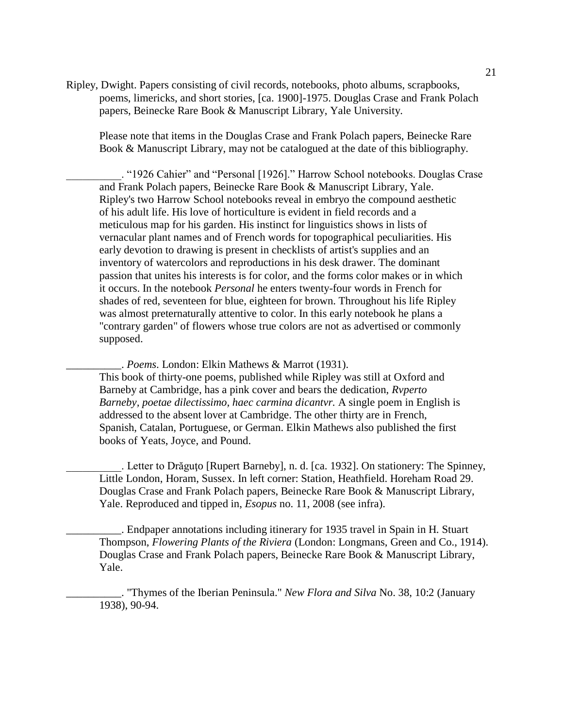Ripley, Dwight. Papers consisting of civil records, notebooks, photo albums, scrapbooks, poems, limericks, and short stories, [ca. 1900]-1975. Douglas Crase and Frank Polach papers, Beinecke Rare Book & Manuscript Library, Yale University.

Please note that items in the Douglas Crase and Frank Polach papers, Beinecke Rare Book & Manuscript Library, may not be catalogued at the date of this bibliography.

\_\_\_\_\_\_\_\_\_\_. "1926 Cahier" and "Personal [1926]." Harrow School notebooks. Douglas Crase and Frank Polach papers, Beinecke Rare Book & Manuscript Library, Yale. Ripley's two Harrow School notebooks reveal in embryo the compound aesthetic of his adult life. His love of horticulture is evident in field records and a meticulous map for his garden. His instinct for linguistics shows in lists of vernacular plant names and of French words for topographical peculiarities. His early devotion to drawing is present in checklists of artist's supplies and an inventory of watercolors and reproductions in his desk drawer. The dominant passion that unites his interests is for color, and the forms color makes or in which it occurs. In the notebook *Personal* he enters twenty-four words in French for shades of red, seventeen for blue, eighteen for brown. Throughout his life Ripley was almost preternaturally attentive to color. In this early notebook he plans a "contrary garden" of flowers whose true colors are not as advertised or commonly supposed.

\_\_\_\_\_\_\_\_\_\_. *Poems*. London: Elkin Mathews & Marrot (1931).

This book of thirty-one poems, published while Ripley was still at Oxford and Barneby at Cambridge, has a pink cover and bears the dedication, *Rvperto Barneby, poetae dilectissimo, haec carmina dicantvr.* A single poem in English is addressed to the absent lover at Cambridge. The other thirty are in French, Spanish, Catalan, Portuguese, or German. Elkin Mathews also published the first books of Yeats, Joyce, and Pound.

. Letter to Drăguțo [Rupert Barneby], n. d. [ca. 1932]. On stationery: The Spinney, Little London, Horam, Sussex. In left corner: Station, Heathfield. Horeham Road 29. Douglas Crase and Frank Polach papers, Beinecke Rare Book & Manuscript Library, Yale. Reproduced and tipped in, *Esopus* no. 11, 2008 (see infra).

\_\_\_\_\_\_\_\_\_\_. Endpaper annotations including itinerary for 1935 travel in Spain in H. Stuart Thompson, *Flowering Plants of the Riviera* (London: Longmans, Green and Co., 1914). Douglas Crase and Frank Polach papers, Beinecke Rare Book & Manuscript Library, Yale.

\_\_\_\_\_\_\_\_\_\_. "Thymes of the Iberian Peninsula." *New Flora and Silva* No. 38, 10:2 (January 1938), 90-94.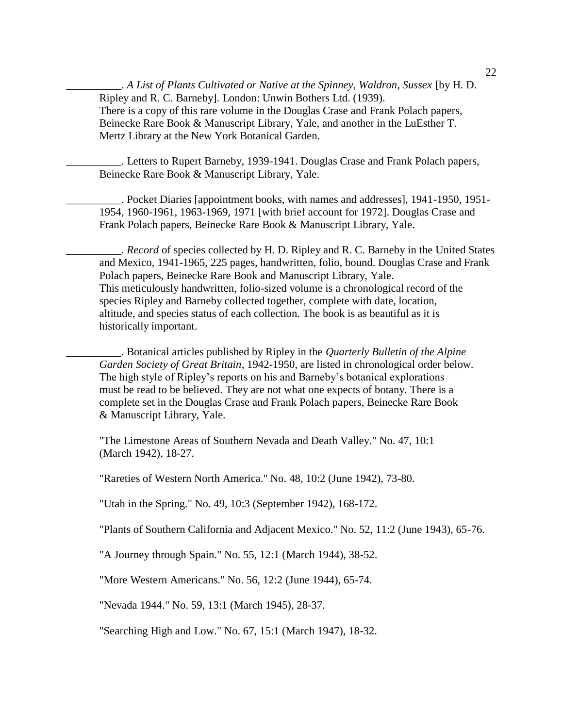*\_\_\_\_\_\_\_\_\_\_. A List of Plants Cultivated or Native at the Spinney, Waldron, Sussex* [by H. D. Ripley and R. C. Barneby]. London: Unwin Bothers Ltd. (1939). There is a copy of this rare volume in the Douglas Crase and Frank Polach papers, Beinecke Rare Book & Manuscript Library, Yale, and another in the LuEsther T. Mertz Library at the New York Botanical Garden.

\_\_\_\_\_\_\_\_\_\_. Letters to Rupert Barneby, 1939-1941. Douglas Crase and Frank Polach papers, Beinecke Rare Book & Manuscript Library, Yale.

\_\_\_\_\_\_\_\_\_\_. Pocket Diaries [appointment books, with names and addresses], 1941-1950, 1951- 1954, 1960-1961, 1963-1969, 1971 [with brief account for 1972]. Douglas Crase and Frank Polach papers, Beinecke Rare Book & Manuscript Library, Yale.

\_\_\_\_\_\_\_\_\_\_. *Record* of species collected by H. D. Ripley and R. C. Barneby in the United States and Mexico, 1941-1965, 225 pages, handwritten, folio, bound. Douglas Crase and Frank Polach papers, Beinecke Rare Book and Manuscript Library, Yale. This meticulously handwritten, folio-sized volume is a chronological record of the species Ripley and Barneby collected together, complete with date, location, altitude, and species status of each collection. The book is as beautiful as it is historically important.

\_\_\_\_\_\_\_\_\_\_. Botanical articles published by Ripley in the *Quarterly Bulletin of the Alpine Garden Society of Great Britain*, 1942-1950, are listed in chronological order below. The high style of Ripley's reports on his and Barneby's botanical explorations must be read to be believed. They are not what one expects of botany. There is a complete set in the Douglas Crase and Frank Polach papers, Beinecke Rare Book & Manuscript Library, Yale.

"The Limestone Areas of Southern Nevada and Death Valley." No. 47, 10:1 (March 1942), 18-27.

"Rareties of Western North America." No. 48, 10:2 (June 1942), 73-80.

"Utah in the Spring." No. 49, 10:3 (September 1942), 168-172.

"Plants of Southern California and Adjacent Mexico." No. 52, 11:2 (June 1943), 65-76.

"A Journey through Spain." No. 55, 12:1 (March 1944), 38-52.

"More Western Americans." No. 56, 12:2 (June 1944), 65-74.

"Nevada 1944." No. 59, 13:1 (March 1945), 28-37.

"Searching High and Low." No. 67, 15:1 (March 1947), 18-32.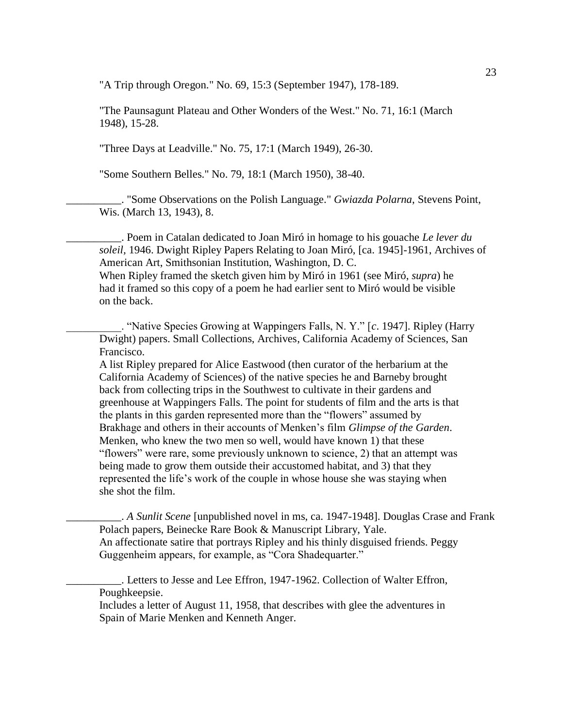"A Trip through Oregon." No. 69, 15:3 (September 1947), 178-189.

"The Paunsagunt Plateau and Other Wonders of the West." No. 71, 16:1 (March 1948), 15-28.

"Three Days at Leadville." No. 75, 17:1 (March 1949), 26-30.

"Some Southern Belles." No. 79, 18:1 (March 1950), 38-40.

\_\_\_\_\_\_\_\_\_\_. "Some Observations on the Polish Language." *Gwiazda Polarna*, Stevens Point, Wis. (March 13, 1943), 8.

\_\_\_\_\_\_\_\_\_\_. Poem in Catalan dedicated to Joan Miró in homage to his gouache *Le lever du soleil,* 1946. Dwight Ripley Papers Relating to Joan Miró, [ca. 1945]-1961, Archives of American Art, Smithsonian Institution, Washington, D. C. When Ripley framed the sketch given him by Miró in 1961 (see Miró, *supra*) he

had it framed so this copy of a poem he had earlier sent to Miró would be visible on the back.

\_\_\_\_\_\_\_\_\_\_. "Native Species Growing at Wappingers Falls, N. Y." [*c*. 1947]. Ripley (Harry Dwight) papers. Small Collections, Archives, California Academy of Sciences, San Francisco.

A list Ripley prepared for Alice Eastwood (then curator of the herbarium at the California Academy of Sciences) of the native species he and Barneby brought back from collecting trips in the Southwest to cultivate in their gardens and greenhouse at Wappingers Falls. The point for students of film and the arts is that the plants in this garden represented more than the "flowers" assumed by Brakhage and others in their accounts of Menken's film *Glimpse of the Garden*. Menken, who knew the two men so well, would have known 1) that these "flowers" were rare, some previously unknown to science, 2) that an attempt was being made to grow them outside their accustomed habitat, and 3) that they represented the life's work of the couple in whose house she was staying when she shot the film.

\_\_\_\_\_\_\_\_\_\_. *A Sunlit Scene* [unpublished novel in ms, ca. 1947-1948]. Douglas Crase and Frank Polach papers, Beinecke Rare Book & Manuscript Library, Yale. An affectionate satire that portrays Ripley and his thinly disguised friends. Peggy Guggenheim appears, for example, as "Cora Shadequarter."

\_\_\_\_\_\_\_\_\_\_. Letters to Jesse and Lee Effron, 1947-1962. Collection of Walter Effron, Poughkeepsie.

Includes a letter of August 11, 1958, that describes with glee the adventures in Spain of Marie Menken and Kenneth Anger.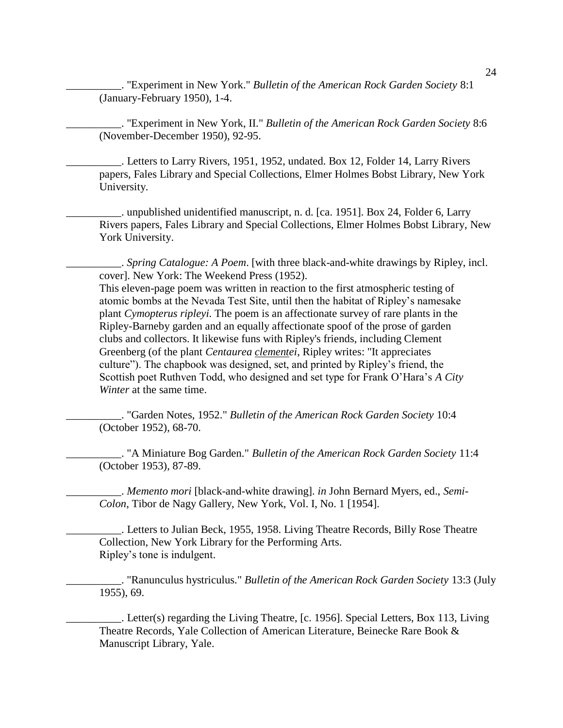\_\_\_\_\_\_\_\_\_\_. "Experiment in New York." *Bulletin of the American Rock Garden Society* 8:1 (January-February 1950), 1-4.

\_\_\_\_\_\_\_\_\_\_. "Experiment in New York, II." *Bulletin of the American Rock Garden Society* 8:6 (November-December 1950), 92-95.

\_\_\_\_\_\_\_\_\_\_. Letters to Larry Rivers, 1951, 1952, undated. Box 12, Folder 14, Larry Rivers papers, Fales Library and Special Collections, Elmer Holmes Bobst Library, New York University.

\_\_\_\_\_\_\_\_\_\_. unpublished unidentified manuscript, n. d. [ca. 1951]. Box 24, Folder 6, Larry Rivers papers, Fales Library and Special Collections, Elmer Holmes Bobst Library, New York University.

\_\_\_\_\_\_\_\_\_\_. *Spring Catalogue: A Poem*. [with three black-and-white drawings by Ripley, incl. cover]. New York: The Weekend Press (1952).

This eleven-page poem was written in reaction to the first atmospheric testing of atomic bombs at the Nevada Test Site, until then the habitat of Ripley's namesake plant *Cymopterus ripleyi.* The poem is an affectionate survey of rare plants in the Ripley-Barneby garden and an equally affectionate spoof of the prose of garden clubs and collectors. It likewise funs with Ripley's friends, including Clement Greenberg (of the plant *Centaurea clementei*, Ripley writes: "It appreciates culture"). The chapbook was designed, set, and printed by Ripley's friend, the Scottish poet Ruthven Todd, who designed and set type for Frank O'Hara's *A City Winter* at the same time.

\_\_\_\_\_\_\_\_\_\_. "Garden Notes, 1952." *Bulletin of the American Rock Garden Society* 10:4 (October 1952), 68-70.

\_\_\_\_\_\_\_\_\_\_. "A Miniature Bog Garden." *Bulletin of the American Rock Garden Society* 11:4 (October 1953), 87-89.

\_\_\_\_\_\_\_\_\_\_. *Memento mori* [black-and-white drawing]. *in* John Bernard Myers, ed., *Semi-Colon*, Tibor de Nagy Gallery, New York, Vol. I, No. 1 [1954].

\_\_\_\_\_\_\_\_\_\_. Letters to Julian Beck, 1955, 1958. Living Theatre Records, Billy Rose Theatre Collection, New York Library for the Performing Arts. Ripley's tone is indulgent.

\_\_\_\_\_\_\_\_\_\_. "Ranunculus hystriculus." *Bulletin of the American Rock Garden Society* 13:3 (July 1955), 69.

\_\_\_\_\_\_\_\_\_\_. Letter(s) regarding the Living Theatre, [c. 1956]. Special Letters, Box 113, Living Theatre Records, Yale Collection of American Literature, Beinecke Rare Book & Manuscript Library, Yale.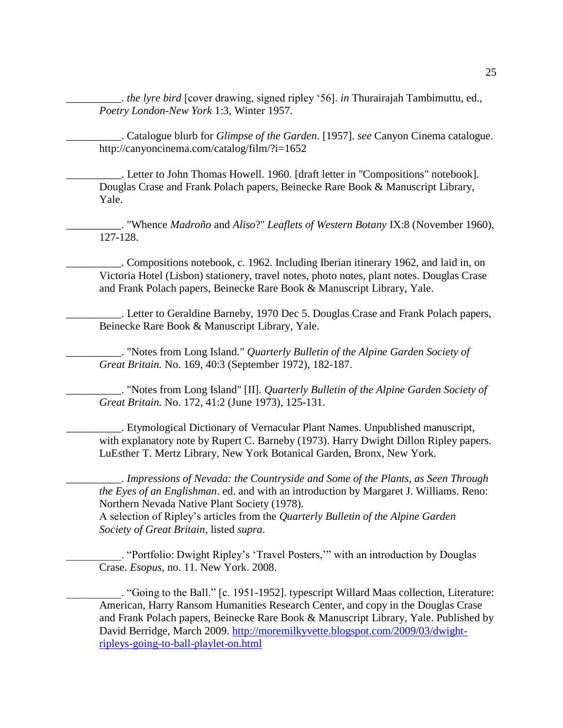\_\_\_\_\_\_\_\_\_\_. *the lyre bird* [cover drawing, signed ripley '56]. *in* Thurairajah Tambimuttu, ed., *Poetry London-New York* 1:3, Winter 1957.

\_\_\_\_\_\_\_\_\_\_. Catalogue blurb for *Glimpse of the Garden*. [1957]. *see* Canyon Cinema catalogue. http://canyoncinema.com/catalog/film/?i=1652

\_\_\_\_\_\_\_\_\_\_. Letter to John Thomas Howell. 1960. [draft letter in "Compositions" notebook]. Douglas Crase and Frank Polach papers, Beinecke Rare Book & Manuscript Library, Yale.

\_\_\_\_\_\_\_\_\_\_. "Whence *Madroño* and *Aliso*?" *Leaflets of Western Botany* IX:8 (November 1960), 127-128.

\_\_\_\_\_\_\_\_\_\_. Compositions notebook, c. 1962. Including Iberian itinerary 1962, and laid in, on Victoria Hotel (Lisbon) stationery, travel notes, photo notes, plant notes. Douglas Crase and Frank Polach papers, Beinecke Rare Book & Manuscript Library, Yale.

\_\_\_\_\_\_\_\_\_\_. Letter to Geraldine Barneby, 1970 Dec 5. Douglas Crase and Frank Polach papers, Beinecke Rare Book & Manuscript Library, Yale.

\_\_\_\_\_\_\_\_\_\_. "Notes from Long Island." *Quarterly Bulletin of the Alpine Garden Society of Great Britain.* No. 169, 40:3 (September 1972), 182-187.

\_\_\_\_\_\_\_\_\_\_. "Notes from Long Island" [II]. *Quarterly Bulletin of the Alpine Garden Society of Great Britain.* No. 172, 41:2 (June 1973), 125-131.

\_\_\_\_\_\_\_\_\_\_. Etymological Dictionary of Vernacular Plant Names. Unpublished manuscript, with explanatory note by Rupert C. Barneby (1973). Harry Dwight Dillon Ripley papers. LuEsther T. Mertz Library, New York Botanical Garden, Bronx, New York.

\_\_\_\_\_\_\_\_\_\_. *Impressions of Nevada: the Countryside and Some of the Plants, as Seen Through the Eyes of an Englishman*. ed. and with an introduction by Margaret J. Williams. Reno: Northern Nevada Native Plant Society (1978).

A selection of Ripley's articles from the *Quarterly Bulletin of the Alpine Garden Society of Great Britain*, listed *supra*.

\_\_\_\_\_\_\_\_\_\_. "Portfolio: Dwight Ripley's 'Travel Posters,'" with an introduction by Douglas Crase. *Esopus*, no. 11. New York. 2008.

\_\_\_\_\_\_\_\_\_\_. "Going to the Ball." [c. 1951-1952]. typescript Willard Maas collection, Literature: American, Harry Ransom Humanities Research Center, and copy in the Douglas Crase and Frank Polach papers, Beinecke Rare Book & Manuscript Library, Yale. Published by David Berridge, March 2009. [http://moremilkyvette.blogspot.com/2009/03/dwight](http://moremilkyvette.blogspot.com/2009/03/dwight-ripleys-going-to-ball-playlet-on.html)[ripleys-going-to-ball-playlet-on.html](http://moremilkyvette.blogspot.com/2009/03/dwight-ripleys-going-to-ball-playlet-on.html)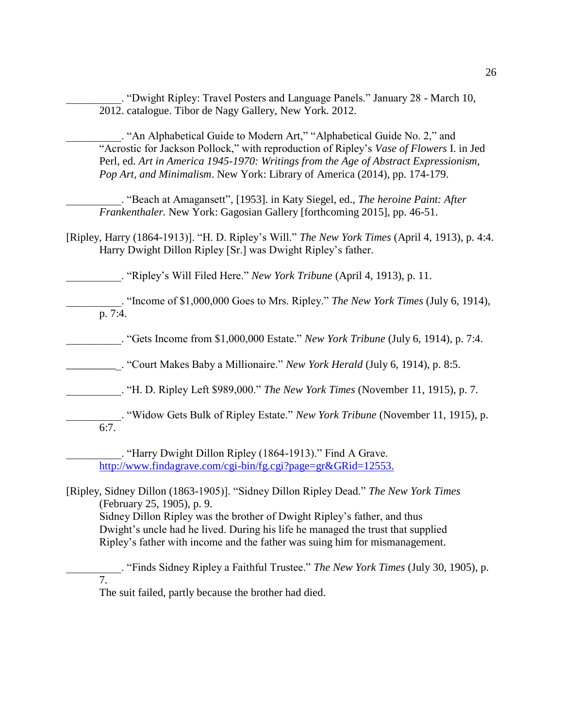\_\_\_\_\_\_\_\_\_\_. "Dwight Ripley: Travel Posters and Language Panels." January 28 - March 10, 2012. catalogue. Tibor de Nagy Gallery, New York. 2012.

\_\_\_\_\_\_\_\_\_\_. "An Alphabetical Guide to Modern Art," "Alphabetical Guide No. 2," and "Acrostic for Jackson Pollock," with reproduction of Ripley's *Vase of Flowers* I. in Jed Perl, ed. *Art in America 1945-1970: Writings from the Age of Abstract Expressionism, Pop Art, and Minimalism*. New York: Library of America (2014), pp. 174-179.

\_\_\_\_\_\_\_\_\_\_. "Beach at Amagansett"*,* [1953]. in Katy Siegel, ed., *The heroine Paint: After Frankenthaler.* New York: Gagosian Gallery [forthcoming 2015], pp. 46-51.

[Ripley, Harry (1864-1913)]. "H. D. Ripley's Will." *The New York Times* (April 4, 1913), p. 4:4. Harry Dwight Dillon Ripley [Sr.] was Dwight Ripley's father.

\_\_\_\_\_\_\_\_\_\_. "Ripley's Will Filed Here." *New York Tribune* (April 4, 1913), p. 11.

\_\_\_\_\_\_\_\_\_\_. "Income of \$1,000,000 Goes to Mrs. Ripley." *The New York Times* (July 6, 1914), p. 7:4.

\_\_\_\_\_\_\_\_\_\_. "Gets Income from \$1,000,000 Estate." *New York Tribune* (July 6, 1914), p. 7:4.

\_\_\_\_\_\_\_\_\_\_. "Court Makes Baby a Millionaire." *New York Herald* (July 6, 1914), p. 8:5.

\_\_\_\_\_\_\_\_\_\_. "H. D. Ripley Left \$989,000." *The New York Times* (November 11, 1915), p. 7.

\_\_\_\_\_\_\_\_\_\_. "Widow Gets Bulk of Ripley Estate." *New York Tribune* (November 11, 1915), p. 6:7.

\_\_\_\_\_\_\_\_\_\_. "Harry Dwight Dillon Ripley (1864-1913)." Find A Grave. <http://www.findagrave.com/cgi-bin/fg.cgi?page=gr&GRid=12553.>

[Ripley, Sidney Dillon (1863-1905)]. "Sidney Dillon Ripley Dead." *The New York Times* (February 25, 1905), p. 9. Sidney Dillon Ripley was the brother of Dwight Ripley's father, and thus Dwight's uncle had he lived. During his life he managed the trust that supplied Ripley's father with income and the father was suing him for mismanagement.

\_\_\_\_\_\_\_\_\_\_. "Finds Sidney Ripley a Faithful Trustee." *The New York Times* (July 30, 1905), p. 7. The suit failed, partly because the brother had died.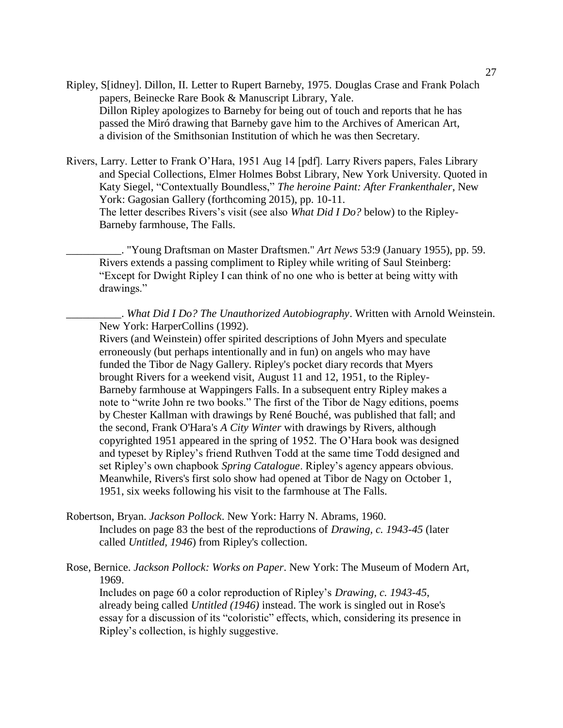- Ripley, S[idney]. Dillon, II. Letter to Rupert Barneby, 1975. Douglas Crase and Frank Polach papers, Beinecke Rare Book & Manuscript Library, Yale. Dillon Ripley apologizes to Barneby for being out of touch and reports that he has passed the Miró drawing that Barneby gave him to the Archives of American Art, a division of the Smithsonian Institution of which he was then Secretary.
- Rivers, Larry. Letter to Frank O'Hara, 1951 Aug 14 [pdf]. Larry Rivers papers, Fales Library and Special Collections, Elmer Holmes Bobst Library, New York University. Quoted in Katy Siegel, "Contextually Boundless," *The heroine Paint: After Frankenthaler*, New York: Gagosian Gallery (forthcoming 2015), pp. 10-11. The letter describes Rivers's visit (see also *What Did I Do?* below) to the Ripley-Barneby farmhouse, The Falls.

\_\_\_\_\_\_\_\_\_\_. "Young Draftsman on Master Draftsmen." *Art News* 53:9 (January 1955), pp. 59. Rivers extends a passing compliment to Ripley while writing of Saul Steinberg: "Except for Dwight Ripley I can think of no one who is better at being witty with drawings."

\_\_\_\_\_\_\_\_\_\_. *What Did I Do? The Unauthorized Autobiography*. Written with Arnold Weinstein. New York: HarperCollins (1992).

Rivers (and Weinstein) offer spirited descriptions of John Myers and speculate erroneously (but perhaps intentionally and in fun) on angels who may have funded the Tibor de Nagy Gallery. Ripley's pocket diary records that Myers brought Rivers for a weekend visit, August 11 and 12, 1951, to the Ripley-Barneby farmhouse at Wappingers Falls. In a subsequent entry Ripley makes a note to "write John re two books." The first of the Tibor de Nagy editions, poems by Chester Kallman with drawings by René Bouché, was published that fall; and the second, Frank O'Hara's *A City Winter* with drawings by Rivers, although copyrighted 1951 appeared in the spring of 1952. The O'Hara book was designed and typeset by Ripley's friend Ruthven Todd at the same time Todd designed and set Ripley's own chapbook *Spring Catalogue*. Ripley's agency appears obvious. Meanwhile, Rivers's first solo show had opened at Tibor de Nagy on October 1, 1951, six weeks following his visit to the farmhouse at The Falls.

Robertson, Bryan. *Jackson Pollock*. New York: Harry N. Abrams, 1960. Includes on page 83 the best of the reproductions of *Drawing, c. 1943-45* (later called *Untitled, 1946*) from Ripley's collection.

Rose, Bernice. *Jackson Pollock: Works on Paper*. New York: The Museum of Modern Art, 1969.

Includes on page 60 a color reproduction of Ripley's *Drawing, c. 1943-45*, already being called *Untitled (1946)* instead. The work is singled out in Rose's essay for a discussion of its "coloristic" effects, which, considering its presence in Ripley's collection, is highly suggestive.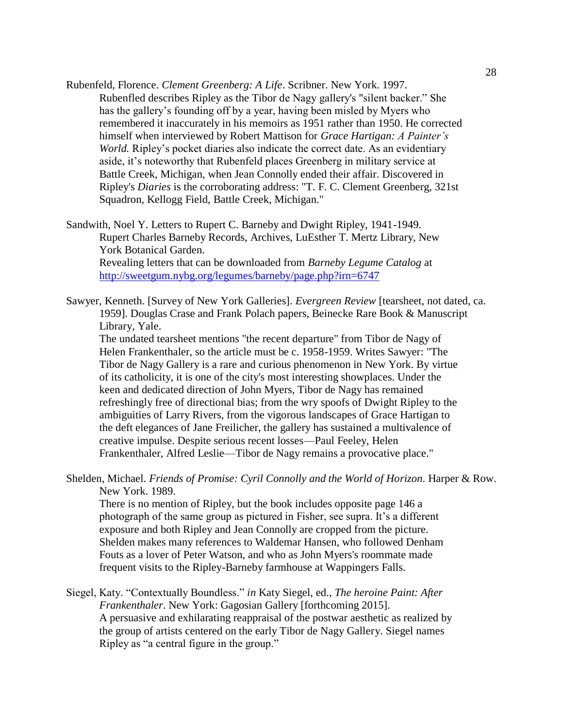Rubenfeld, Florence. *Clement Greenberg: A Life*. Scribner. New York. 1997. Rubenfled describes Ripley as the Tibor de Nagy gallery's "silent backer." She has the gallery's founding off by a year, having been misled by Myers who remembered it inaccurately in his memoirs as 1951 rather than 1950. He corrected himself when interviewed by Robert Mattison for *Grace Hartigan: A Painter's World.* Ripley's pocket diaries also indicate the correct date. As an evidentiary aside, it's noteworthy that Rubenfeld places Greenberg in military service at Battle Creek, Michigan, when Jean Connolly ended their affair. Discovered in Ripley's *Diaries* is the corroborating address: "T. F. C. Clement Greenberg, 321st Squadron, Kellogg Field, Battle Creek, Michigan."

Sandwith, Noel Y. Letters to Rupert C. Barneby and Dwight Ripley, 1941-1949. Rupert Charles Barneby Records, Archives, LuEsther T. Mertz Library, New York Botanical Garden. Revealing letters that can be downloaded from *Barneby Legume Catalog* at <http://sweetgum.nybg.org/legumes/barneby/page.php?irn=6747>

Sawyer, Kenneth. [Survey of New York Galleries]. *Evergreen Review* [tearsheet, not dated, ca. 1959]. Douglas Crase and Frank Polach papers, Beinecke Rare Book & Manuscript Library, Yale.

The undated tearsheet mentions "the recent departure" from Tibor de Nagy of Helen Frankenthaler, so the article must be c. 1958-1959. Writes Sawyer: "The Tibor de Nagy Gallery is a rare and curious phenomenon in New York. By virtue of its catholicity, it is one of the city's most interesting showplaces. Under the keen and dedicated direction of John Myers, Tibor de Nagy has remained refreshingly free of directional bias; from the wry spoofs of Dwight Ripley to the ambiguities of Larry Rivers, from the vigorous landscapes of Grace Hartigan to the deft elegances of Jane Freilicher, the gallery has sustained a multivalence of creative impulse. Despite serious recent losses—Paul Feeley, Helen Frankenthaler, Alfred Leslie—Tibor de Nagy remains a provocative place."

Shelden, Michael. *Friends of Promise: Cyril Connolly and the World of Horizon*. Harper & Row. New York. 1989.

There is no mention of Ripley, but the book includes opposite page 146 a photograph of the same group as pictured in Fisher, see supra. It's a different exposure and both Ripley and Jean Connolly are cropped from the picture. Shelden makes many references to Waldemar Hansen, who followed Denham Fouts as a lover of Peter Watson, and who as John Myers's roommate made frequent visits to the Ripley-Barneby farmhouse at Wappingers Falls.

Siegel, Katy. "Contextually Boundless." *in* Katy Siegel, ed., *The heroine Paint: After Frankenthaler*. New York: Gagosian Gallery [forthcoming 2015]. A persuasive and exhilarating reappraisal of the postwar aesthetic as realized by the group of artists centered on the early Tibor de Nagy Gallery. Siegel names Ripley as "a central figure in the group."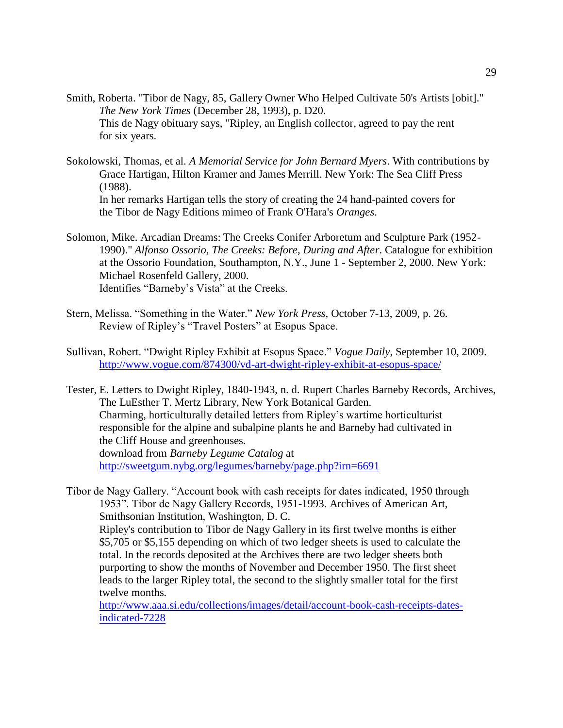- Smith, Roberta. "Tibor de Nagy, 85, Gallery Owner Who Helped Cultivate 50's Artists [obit]." *The New York Times* (December 28, 1993), p. D20. This de Nagy obituary says, "Ripley, an English collector, agreed to pay the rent for six years.
- Sokolowski, Thomas, et al. *A Memorial Service for John Bernard Myers*. With contributions by Grace Hartigan, Hilton Kramer and James Merrill. New York: The Sea Cliff Press (1988). In her remarks Hartigan tells the story of creating the 24 hand-painted covers for the Tibor de Nagy Editions mimeo of Frank O'Hara's *Oranges*.
- Solomon, Mike. Arcadian Dreams: The Creeks Conifer Arboretum and Sculpture Park (1952- 1990)." *Alfonso Ossorio, The Creeks: Before, During and After*. Catalogue for exhibition at the Ossorio Foundation, Southampton, N.Y., June 1 - September 2, 2000. New York: Michael Rosenfeld Gallery, 2000. Identifies "Barneby's Vista" at the Creeks.
- Stern, Melissa. "Something in the Water." *New York Press*, October 7-13, 2009, p. 26. Review of Ripley's "Travel Posters" at Esopus Space.
- Sullivan, Robert. "Dwight Ripley Exhibit at Esopus Space." *Vogue Daily*, September 10, 2009. <http://www.vogue.com/874300/vd-art-dwight-ripley-exhibit-at-esopus-space/>

Tester, E. Letters to Dwight Ripley, 1840-1943, n. d. Rupert Charles Barneby Records, Archives, The LuEsther T. Mertz Library, New York Botanical Garden. Charming, horticulturally detailed letters from Ripley's wartime horticulturist responsible for the alpine and subalpine plants he and Barneby had cultivated in the Cliff House and greenhouses. download from *Barneby Legume Catalog* at <http://sweetgum.nybg.org/legumes/barneby/page.php?irn=6691>

Tibor de Nagy Gallery. "Account book with cash receipts for dates indicated, 1950 through 1953". Tibor de Nagy Gallery Records, 1951-1993. Archives of American Art, Smithsonian Institution, Washington, D. C. Ripley's contribution to Tibor de Nagy Gallery in its first twelve months is either \$5,705 or \$5,155 depending on which of two ledger sheets is used to calculate the total. In the records deposited at the Archives there are two ledger sheets both purporting to show the months of November and December 1950. The first sheet leads to the larger Ripley total, the second to the slightly smaller total for the first twelve months.

[http://www.aaa.si.edu/collections/images/detail/account-book-cash-receipts-dates](http://www.aaa.si.edu/collections/images/detail/account-book-cash-receipts-dates-indicated-7228)[indicated-7228](http://www.aaa.si.edu/collections/images/detail/account-book-cash-receipts-dates-indicated-7228)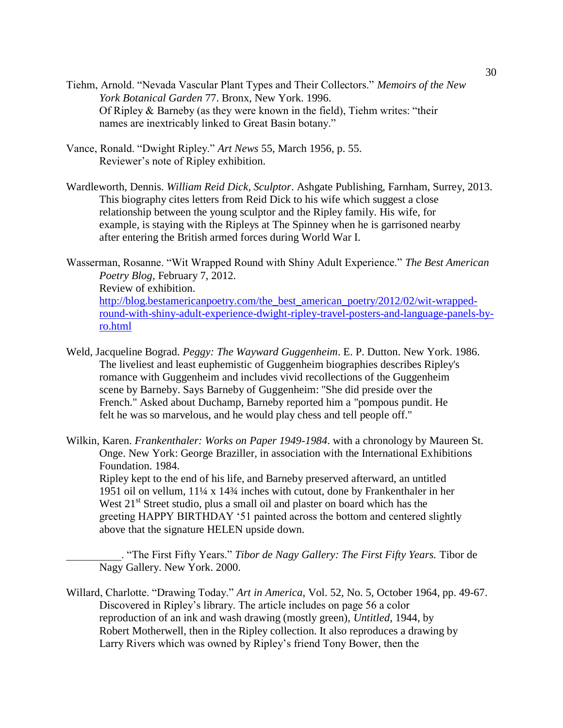- Tiehm, Arnold. "Nevada Vascular Plant Types and Their Collectors." *Memoirs of the New York Botanical Garden* 77. Bronx, New York. 1996. Of Ripley & Barneby (as they were known in the field), Tiehm writes: "their names are inextricably linked to Great Basin botany."
- Vance, Ronald. "Dwight Ripley." *Art News* 55, March 1956, p. 55. Reviewer's note of Ripley exhibition.
- Wardleworth, Dennis. *William Reid Dick, Sculptor*. Ashgate Publishing, Farnham, Surrey, 2013. This biography cites letters from Reid Dick to his wife which suggest a close relationship between the young sculptor and the Ripley family. His wife, for example, is staying with the Ripleys at The Spinney when he is garrisoned nearby after entering the British armed forces during World War I.
- Wasserman, Rosanne. "Wit Wrapped Round with Shiny Adult Experience." *The Best American Poetry Blog*, February 7, 2012. Review of exhibition. [http://blog.bestamericanpoetry.com/the\\_best\\_american\\_poetry/2012/02/wit-wrapped](http://blog.bestamericanpoetry.com/the_best_american_poetry/2012/02/wit-wrapped-round-with-shiny-adult-experience-dwight-ripley-travel-posters-and-language-panels-by-ro.html)[round-with-shiny-adult-experience-dwight-ripley-travel-posters-and-language-panels-by](http://blog.bestamericanpoetry.com/the_best_american_poetry/2012/02/wit-wrapped-round-with-shiny-adult-experience-dwight-ripley-travel-posters-and-language-panels-by-ro.html)[ro.html](http://blog.bestamericanpoetry.com/the_best_american_poetry/2012/02/wit-wrapped-round-with-shiny-adult-experience-dwight-ripley-travel-posters-and-language-panels-by-ro.html)
- Weld, Jacqueline Bograd. *Peggy: The Wayward Guggenheim*. E. P. Dutton. New York. 1986. The liveliest and least euphemistic of Guggenheim biographies describes Ripley's romance with Guggenheim and includes vivid recollections of the Guggenheim scene by Barneby. Says Barneby of Guggenheim: "She did preside over the French." Asked about Duchamp, Barneby reported him a "pompous pundit. He felt he was so marvelous, and he would play chess and tell people off."
- Wilkin, Karen. *Frankenthaler: Works on Paper 1949-1984*. with a chronology by Maureen St. Onge. New York: George Braziller, in association with the International Exhibitions Foundation. 1984. Ripley kept to the end of his life, and Barneby preserved afterward, an untitled 1951 oil on vellum, 11¼ x 14¾ inches with cutout, done by Frankenthaler in her West  $21<sup>st</sup>$  Street studio, plus a small oil and plaster on board which has the greeting HAPPY BIRTHDAY '51 painted across the bottom and centered slightly above that the signature HELEN upside down.
	- \_\_\_\_\_\_\_\_\_\_. "The First Fifty Years." *Tibor de Nagy Gallery: The First Fifty Years.* Tibor de Nagy Gallery. New York. 2000.
- Willard, Charlotte. "Drawing Today." *Art in America*, Vol. 52, No. 5, October 1964, pp. 49-67. Discovered in Ripley's library. The article includes on page 56 a color reproduction of an ink and wash drawing (mostly green), *Untitled*, 1944, by Robert Motherwell, then in the Ripley collection. It also reproduces a drawing by Larry Rivers which was owned by Ripley's friend Tony Bower, then the